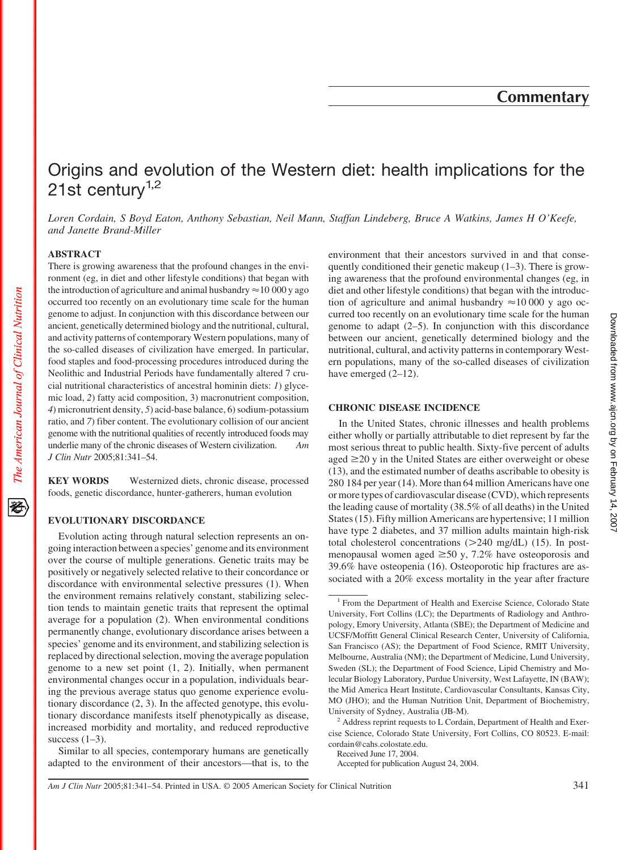# The American Journal of Clinical Nutrition

Origins and evolution of the Western diet: health implications for the 21st century $1,2$ 

*Loren Cordain, S Boyd Eaton, Anthony Sebastian, Neil Mann, Staffan Lindeberg, Bruce A Watkins, James H O'Keefe, and Janette Brand-Miller*

# **ABSTRACT**

There is growing awareness that the profound changes in the environment (eg, in diet and other lifestyle conditions) that began with the introduction of agriculture and animal husbandry  $\approx$  10 000 y ago occurred too recently on an evolutionary time scale for the human genome to adjust. In conjunction with this discordance between our ancient, genetically determined biology and the nutritional, cultural, and activity patterns of contemporary Western populations, many of the so-called diseases of civilization have emerged. In particular, food staples and food-processing procedures introduced during the Neolithic and Industrial Periods have fundamentally altered 7 crucial nutritional characteristics of ancestral hominin diets: *1*) glycemic load, *2*) fatty acid composition, 3) macronutrient composition, *4*) micronutrient density, *5*) acid-base balance, 6) sodium-potassium ratio, and *7*) fiber content. The evolutionary collision of our ancient genome with the nutritional qualities of recently introduced foods may underlie many of the chronic diseases of Western civilization. *Am J Clin Nutr* 2005;81:341–54.

**KEY WORDS** Westernized diets, chronic disease, processed foods, genetic discordance, hunter-gatherers, human evolution

# **EVOLUTIONARY DISCORDANCE**

Evolution acting through natural selection represents an ongoing interaction between a species' genome and its environment over the course of multiple generations. Genetic traits may be positively or negatively selected relative to their concordance or discordance with environmental selective pressures (1). When the environment remains relatively constant, stabilizing selection tends to maintain genetic traits that represent the optimal average for a population (2). When environmental conditions permanently change, evolutionary discordance arises between a species' genome and its environment, and stabilizing selection is replaced by directional selection, moving the average population genome to a new set point (1, 2). Initially, when permanent environmental changes occur in a population, individuals bearing the previous average status quo genome experience evolutionary discordance (2, 3). In the affected genotype, this evolutionary discordance manifests itself phenotypically as disease, increased morbidity and mortality, and reduced reproductive success  $(1-3)$ .

Similar to all species, contemporary humans are genetically adapted to the environment of their ancestors—that is, to the environment that their ancestors survived in and that consequently conditioned their genetic makeup (1–3). There is growing awareness that the profound environmental changes (eg, in diet and other lifestyle conditions) that began with the introduction of agriculture and animal husbandry  $\approx 10000$  y ago occurred too recently on an evolutionary time scale for the human genome to adapt (2–5). In conjunction with this discordance between our ancient, genetically determined biology and the nutritional, cultural, and activity patterns in contemporary Western populations, many of the so-called diseases of civilization have emerged  $(2-12)$ .

# **CHRONIC DISEASE INCIDENCE**

In the United States, chronic illnesses and health problems either wholly or partially attributable to diet represent by far the most serious threat to public health. Sixty-five percent of adults aged  $\geq$ 20 y in the United States are either overweight or obese (13), and the estimated number of deaths ascribable to obesity is 280 184 per year (14). More than 64 million Americans have one or more types of cardiovascular disease (CVD), which represents the leading cause of mortality (38.5% of all deaths) in the United States (15). Fifty million Americans are hypertensive; 11 million have type 2 diabetes, and 37 million adults maintain high-risk total cholesterol concentrations (240 mg/dL) (15). In postmenopausal women aged  $\geq 50$  y, 7.2% have osteoporosis and 39.6% have osteopenia (16). Osteoporotic hip fractures are associated with a 20% excess mortality in the year after fracture

Accepted for publication August 24, 2004.

*Am J Clin Nutr* 2005;81:341–54. Printed in USA. © 2005 American Society for Clinical Nutrition 341

<sup>&</sup>lt;sup>1</sup> From the Department of Health and Exercise Science, Colorado State University, Fort Collins (LC); the Departments of Radiology and Anthropology, Emory University, Atlanta (SBE); the Department of Medicine and UCSF/Moffitt General Clinical Research Center, University of California, San Francisco (AS); the Department of Food Science, RMIT University, Melbourne, Australia (NM); the Department of Medicine, Lund University, Sweden (SL); the Department of Food Science, Lipid Chemistry and Molecular Biology Laboratory, Purdue University, West Lafayette, IN (BAW); the Mid America Heart Institute, Cardiovascular Consultants, Kansas City, MO (JHO); and the Human Nutrition Unit, Department of Biochemistry, University of Sydney, Australia (JB-M).

 $2$  Address reprint requests to L Cordain, Department of Health and Exercise Science, Colorado State University, Fort Collins, CO 80523. E-mail: cordain@cahs.colostate.edu.

Received June 17, 2004.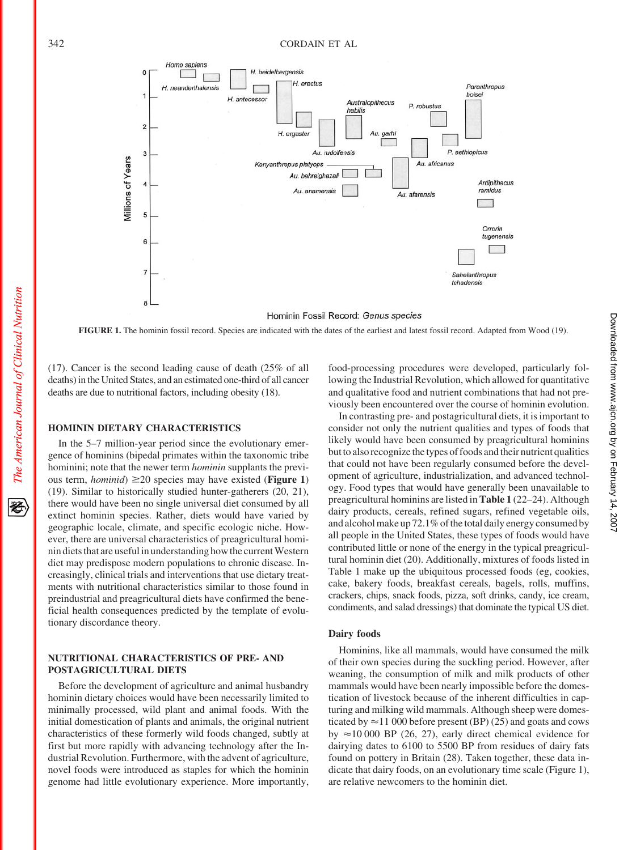**FIGURE 1.** The hominin fossil record. Species are indicated with the dates of the earliest and latest fossil record. Adapted from Wood (19).

(17). Cancer is the second leading cause of death (25% of all deaths) in the United States, and an estimated one-third of all cancer deaths are due to nutritional factors, including obesity (18).

# **HOMININ DIETARY CHARACTERISTICS**

In the 5–7 million-year period since the evolutionary emergence of hominins (bipedal primates within the taxonomic tribe hominini; note that the newer term *hominin* supplants the previous term, *hominid*)  $\geq$ 20 species may have existed (**Figure 1**) (19). Similar to historically studied hunter-gatherers (20, 21), there would have been no single universal diet consumed by all extinct hominin species. Rather, diets would have varied by geographic locale, climate, and specific ecologic niche. However, there are universal characteristics of preagricultural hominin diets that are useful in understanding how the current Western diet may predispose modern populations to chronic disease. Increasingly, clinical trials and interventions that use dietary treatments with nutritional characteristics similar to those found in preindustrial and preagricultural diets have confirmed the beneficial health consequences predicted by the template of evolutionary discordance theory.

# **NUTRITIONAL CHARACTERISTICS OF PRE- AND POSTAGRICULTURAL DIETS**

Before the development of agriculture and animal husbandry hominin dietary choices would have been necessarily limited to minimally processed, wild plant and animal foods. With the initial domestication of plants and animals, the original nutrient characteristics of these formerly wild foods changed, subtly at first but more rapidly with advancing technology after the Industrial Revolution. Furthermore, with the advent of agriculture, novel foods were introduced as staples for which the hominin genome had little evolutionary experience. More importantly, food-processing procedures were developed, particularly following the Industrial Revolution, which allowed for quantitative and qualitative food and nutrient combinations that had not previously been encountered over the course of hominin evolution. by on February 14, 2007 [www.ajcn.org](http://www.ajcn.org) Downloaded from

Downloaded from www.ajcn.org by on February 14, 2007

In contrasting pre- and postagricultural diets, it is important to consider not only the nutrient qualities and types of foods that likely would have been consumed by preagricultural hominins but to also recognize the types of foods and their nutrient qualities that could not have been regularly consumed before the development of agriculture, industrialization, and advanced technology. Food types that would have generally been unavailable to preagricultural hominins are listed in **Table 1** (22–24). Although dairy products, cereals, refined sugars, refined vegetable oils, and alcohol make up 72.1% of the total daily energy consumed by all people in the United States, these types of foods would have contributed little or none of the energy in the typical preagricultural hominin diet (20). Additionally, mixtures of foods listed in Table 1 make up the ubiquitous processed foods (eg, cookies, cake, bakery foods, breakfast cereals, bagels, rolls, muffins, crackers, chips, snack foods, pizza, soft drinks, candy, ice cream, condiments, and salad dressings) that dominate the typical US diet.

### **Dairy foods**

Hominins, like all mammals, would have consumed the milk of their own species during the suckling period. However, after weaning, the consumption of milk and milk products of other mammals would have been nearly impossible before the domestication of livestock because of the inherent difficulties in capturing and milking wild mammals. Although sheep were domesticated by  $\approx$  11 000 before present (BP) (25) and goats and cows by  $\approx$  10 000 BP (26, 27), early direct chemical evidence for dairying dates to 6100 to 5500 BP from residues of dairy fats found on pottery in Britain (28). Taken together, these data indicate that dairy foods, on an evolutionary time scale (Figure 1), are relative newcomers to the hominin diet.



移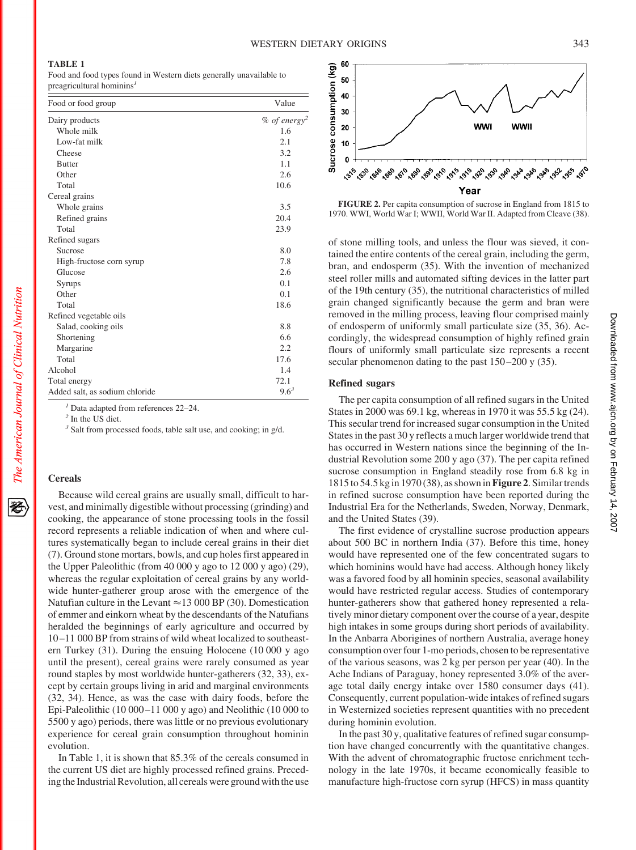Food and food types found in Western diets generally unavailable to preagricultural hominins*<sup>1</sup>*

| Food or food group             | Value                      |  |  |
|--------------------------------|----------------------------|--|--|
| Dairy products                 | $%$ of energy <sup>2</sup> |  |  |
| Whole milk                     | 1.6                        |  |  |
| Low-fat milk                   | 2.1                        |  |  |
| Cheese                         | 3.2                        |  |  |
| <b>Butter</b>                  | 1.1                        |  |  |
| Other                          | 2.6                        |  |  |
| Total                          | 10.6                       |  |  |
| Cereal grains                  |                            |  |  |
| Whole grains                   | 3.5                        |  |  |
| Refined grains                 | 20.4                       |  |  |
| Total                          | 23.9                       |  |  |
| Refined sugars                 |                            |  |  |
| Sucrose                        | 8.0                        |  |  |
| High-fructose corn syrup       | 7.8                        |  |  |
| Glucose                        | 2.6                        |  |  |
| <b>Syrups</b>                  | 0.1                        |  |  |
| Other                          | 0.1                        |  |  |
| Total                          | 18.6                       |  |  |
| Refined vegetable oils         |                            |  |  |
| Salad, cooking oils            | 8.8                        |  |  |
| Shortening                     | 6.6                        |  |  |
| Margarine                      | 2.2                        |  |  |
| Total                          | 17.6                       |  |  |
| Alcohol                        | 1.4                        |  |  |
| Total energy                   | 72.1                       |  |  |
| Added salt, as sodium chloride | $9.6^3$                    |  |  |

*<sup>1</sup>* Data adapted from references 22–24.

*<sup>2</sup>* In the US diet.

*<sup>3</sup>* Salt from processed foods, table salt use, and cooking; in g/d.

# **Cereals**

Because wild cereal grains are usually small, difficult to harvest, and minimally digestible without processing (grinding) and cooking, the appearance of stone processing tools in the fossil record represents a reliable indication of when and where cultures systematically began to include cereal grains in their diet (7). Ground stone mortars, bowls, and cup holes first appeared in the Upper Paleolithic (from 40 000 y ago to 12 000 y ago) (29), whereas the regular exploitation of cereal grains by any worldwide hunter-gatherer group arose with the emergence of the Natufian culture in the Levant  $\approx$  13 000 BP (30). Domestication of emmer and einkorn wheat by the descendants of the Natufians heralded the beginnings of early agriculture and occurred by 10 –11 000 BP from strains of wild wheat localized to southeastern Turkey (31). During the ensuing Holocene (10 000 y ago until the present), cereal grains were rarely consumed as year round staples by most worldwide hunter-gatherers (32, 33), except by certain groups living in arid and marginal environments (32, 34). Hence, as was the case with dairy foods, before the Epi-Paleolithic (10 000 –11 000 y ago) and Neolithic (10 000 to 5500 y ago) periods, there was little or no previous evolutionary experience for cereal grain consumption throughout hominin evolution.

In Table 1, it is shown that 85.3% of the cereals consumed in the current US diet are highly processed refined grains. Preceding the Industrial Revolution, all cereals were ground with the use



**FIGURE 2.** Per capita consumption of sucrose in England from 1815 to 1970. WWI, World War I; WWII, World War II. Adapted from Cleave (38).

of stone milling tools, and unless the flour was sieved, it contained the entire contents of the cereal grain, including the germ, bran, and endosperm (35). With the invention of mechanized steel roller mills and automated sifting devices in the latter part of the 19th century (35), the nutritional characteristics of milled grain changed significantly because the germ and bran were removed in the milling process, leaving flour comprised mainly of endosperm of uniformly small particulate size (35, 36). Accordingly, the widespread consumption of highly refined grain flours of uniformly small particulate size represents a recent secular phenomenon dating to the past 150–200 y (35).

### **Refined sugars**

The per capita consumption of all refined sugars in the United States in 2000 was 69.1 kg, whereas in 1970 it was 55.5 kg (24). This secular trend for increased sugar consumption in the United States in the past 30 y reflects a much larger worldwide trend that has occurred in Western nations since the beginning of the Industrial Revolution some 200 y ago (37). The per capita refined sucrose consumption in England steadily rose from 6.8 kg in 1815 to 54.5 kg in 1970 (38), as shown in**Figure 2**. Similar trends in refined sucrose consumption have been reported during the Industrial Era for the Netherlands, Sweden, Norway, Denmark, and the United States (39).

The first evidence of crystalline sucrose production appears about 500 BC in northern India (37). Before this time, honey would have represented one of the few concentrated sugars to which hominins would have had access. Although honey likely was a favored food by all hominin species, seasonal availability would have restricted regular access. Studies of contemporary hunter-gatherers show that gathered honey represented a relatively minor dietary component over the course of a year, despite high intakes in some groups during short periods of availability. In the Anbarra Aborigines of northern Australia, average honey consumption over four 1-mo periods, chosen to be representative of the various seasons, was 2 kg per person per year (40). In the Ache Indians of Paraguay, honey represented 3.0% of the average total daily energy intake over 1580 consumer days (41). Consequently, current population-wide intakes of refined sugars in Westernized societies represent quantities with no precedent during hominin evolution.

In the past 30 y, qualitative features of refined sugar consumption have changed concurrently with the quantitative changes. With the advent of chromatographic fructose enrichment technology in the late 1970s, it became economically feasible to manufacture high-fructose corn syrup (HFCS) in mass quantity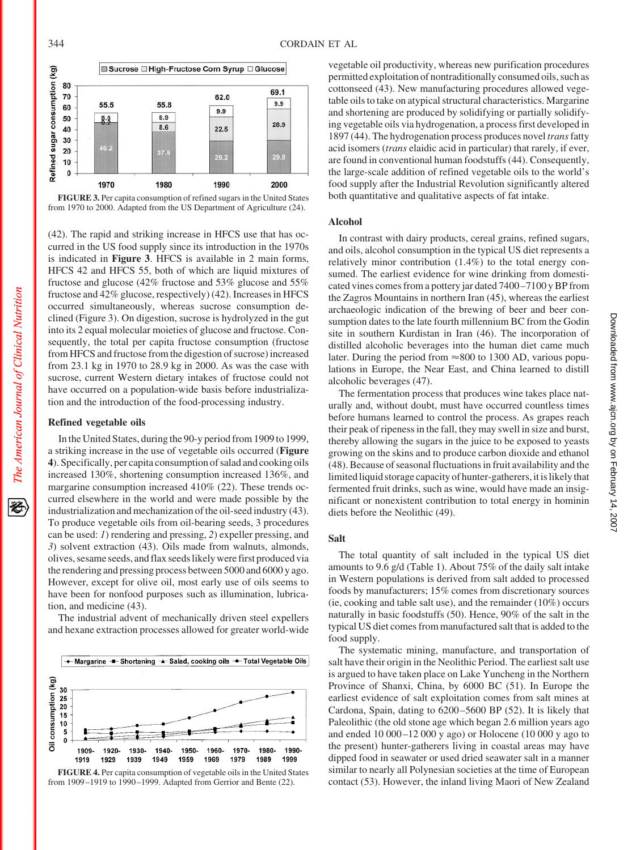



(42). The rapid and striking increase in HFCS use that has occurred in the US food supply since its introduction in the 1970s is indicated in **Figure 3**. HFCS is available in 2 main forms, HFCS 42 and HFCS 55, both of which are liquid mixtures of fructose and glucose (42% fructose and 53% glucose and 55% fructose and 42% glucose, respectively) (42). Increases in HFCS occurred simultaneously, whereas sucrose consumption declined (Figure 3). On digestion, sucrose is hydrolyzed in the gut into its 2 equal molecular moieties of glucose and fructose. Consequently, the total per capita fructose consumption (fructose from HFCS and fructose from the digestion of sucrose) increased from 23.1 kg in 1970 to 28.9 kg in 2000. As was the case with sucrose, current Western dietary intakes of fructose could not have occurred on a population-wide basis before industrialization and the introduction of the food-processing industry.

# **Refined vegetable oils**

In the United States, during the 90-y period from 1909 to 1999, a striking increase in the use of vegetable oils occurred (**Figure 4**). Specifically, per capita consumption of salad and cooking oils increased 130%, shortening consumption increased 136%, and margarine consumption increased 410% (22). These trends occurred elsewhere in the world and were made possible by the industrialization and mechanization of the oil-seed industry (43). To produce vegetable oils from oil-bearing seeds, 3 procedures can be used: *1*) rendering and pressing, *2*) expeller pressing, and *3*) solvent extraction (43). Oils made from walnuts, almonds, olives, sesame seeds, and flax seedslikely were first produced via the rendering and pressing process between 5000 and 6000 y ago. However, except for olive oil, most early use of oils seems to have been for nonfood purposes such as illumination, lubrication, and medicine (43).

The industrial advent of mechanically driven steel expellers and hexane extraction processes allowed for greater world-wide



**FIGURE 4.** Per capita consumption of vegetable oils in the United States from 1909 –1919 to 1990 –1999. Adapted from Gerrior and Bente (22).

vegetable oil productivity, whereas new purification procedures permitted exploitation of nontraditionally consumed oils, such as cottonseed (43). New manufacturing procedures allowed vegetable oils to take on atypical structural characteristics. Margarine and shortening are produced by solidifying or partially solidifying vegetable oils via hydrogenation, a process first developed in 1897 (44). The hydrogenation process produces novel *trans*fatty acid isomers (*trans* elaidic acid in particular) that rarely, if ever, are found in conventional human foodstuffs (44). Consequently, the large-scale addition of refined vegetable oils to the world's food supply after the Industrial Revolution significantly altered both quantitative and qualitative aspects of fat intake.

# **Alcohol**

In contrast with dairy products, cereal grains, refined sugars, and oils, alcohol consumption in the typical US diet represents a relatively minor contribution (1.4%) to the total energy consumed. The earliest evidence for wine drinking from domesticated vines comes from a pottery jar dated 7400 –7100 y BP from the Zagros Mountains in northern Iran (45), whereas the earliest archaeologic indication of the brewing of beer and beer consumption dates to the late fourth millennium BC from the Godin site in southern Kurdistan in Iran (46). The incorporation of distilled alcoholic beverages into the human diet came much later. During the period from  $\approx 800$  to 1300 AD, various populations in Europe, the Near East, and China learned to distill alcoholic beverages (47).

The fermentation process that produces wine takes place naturally and, without doubt, must have occurred countless times before humans learned to control the process. As grapes reach their peak of ripeness in the fall, they may swell in size and burst, thereby allowing the sugars in the juice to be exposed to yeasts growing on the skins and to produce carbon dioxide and ethanol (48). Because of seasonal fluctuations in fruit availability and the limited liquid storage capacity of hunter-gatherers, it is likely that fermented fruit drinks, such as wine, would have made an insignificant or nonexistent contribution to total energy in hominin diets before the Neolithic (49).

## **Salt**

The total quantity of salt included in the typical US diet amounts to 9.6 g/d (Table 1). About 75% of the daily salt intake in Western populations is derived from salt added to processed foods by manufacturers; 15% comes from discretionary sources (ie, cooking and table salt use), and the remainder (10%) occurs naturally in basic foodstuffs (50). Hence, 90% of the salt in the typical US diet comes from manufactured salt that is added to the food supply.

The systematic mining, manufacture, and transportation of salt have their origin in the Neolithic Period. The earliest salt use is argued to have taken place on Lake Yuncheng in the Northern Province of Shanxi, China, by 6000 BC (51). In Europe the earliest evidence of salt exploitation comes from salt mines at Cardona, Spain, dating to 6200 –5600 BP (52). It is likely that Paleolithic (the old stone age which began 2.6 million years ago and ended 10 000 –12 000 y ago) or Holocene (10 000 y ago to the present) hunter-gatherers living in coastal areas may have dipped food in seawater or used dried seawater salt in a manner similar to nearly all Polynesian societies at the time of European contact (53). However, the inland living Maori of New Zealand

豾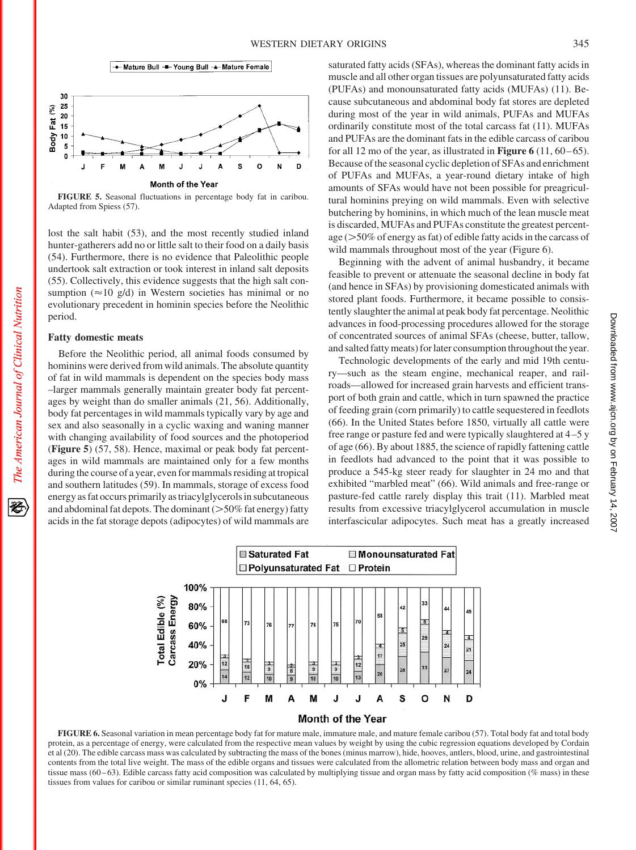

**FIGURE 5.** Seasonal fluctuations in percentage body fat in caribou. Adapted from Spiess (57).

lost the salt habit (53), and the most recently studied inland hunter-gatherers add no or little salt to their food on a daily basis (54). Furthermore, there is no evidence that Paleolithic people undertook salt extraction or took interest in inland salt deposits (55). Collectively, this evidence suggests that the high salt consumption ( $\approx$ 10 g/d) in Western societies has minimal or no evolutionary precedent in hominin species before the Neolithic period.

## **Fatty domestic meats**

Before the Neolithic period, all animal foods consumed by hominins were derived from wild animals. The absolute quantity of fat in wild mammals is dependent on the species body mass –larger mammals generally maintain greater body fat percentages by weight than do smaller animals (21, 56). Additionally, body fat percentages in wild mammals typically vary by age and sex and also seasonally in a cyclic waxing and waning manner with changing availability of food sources and the photoperiod (**Figure 5**) (57, 58). Hence, maximal or peak body fat percentages in wild mammals are maintained only for a few months during the course of a year, even for mammals residing at tropical and southern latitudes (59). In mammals, storage of excess food energy as fat occurs primarily astriacylglycerolsin subcutaneous and abdominal fat depots. The dominant  $(>50\%$  fat energy) fatty acids in the fat storage depots (adipocytes) of wild mammals are

saturated fatty acids (SFAs), whereas the dominant fatty acids in muscle and all other organ tissues are polyunsaturated fatty acids (PUFAs) and monounsaturated fatty acids (MUFAs) (11). Because subcutaneous and abdominal body fat stores are depleted during most of the year in wild animals, PUFAs and MUFAs ordinarily constitute most of the total carcass fat (11). MUFAs and PUFAs are the dominant fats in the edible carcass of caribou for all 12 mo of the year, as illustrated in **Figure 6** (11, 60–65). Because of the seasonal cyclic depletion of SFAs and enrichment of PUFAs and MUFAs, a year-round dietary intake of high amounts of SFAs would have not been possible for preagricultural hominins preying on wild mammals. Even with selective butchering by hominins, in which much of the lean muscle meat is discarded, MUFAs and PUFAs constitute the greatest percentage ( $>50\%$  of energy as fat) of edible fatty acids in the carcass of wild mammals throughout most of the year (Figure 6).

Beginning with the advent of animal husbandry, it became feasible to prevent or attenuate the seasonal decline in body fat (and hence in SFAs) by provisioning domesticated animals with stored plant foods. Furthermore, it became possible to consistently slaughter the animal at peak body fat percentage. Neolithic advances in food-processing procedures allowed for the storage of concentrated sources of animal SFAs (cheese, butter, tallow, and salted fatty meats) for later consumption throughout the year.

Technologic developments of the early and mid 19th century—such as the steam engine, mechanical reaper, and railroads—allowed for increased grain harvests and efficient transport of both grain and cattle, which in turn spawned the practice of feeding grain (corn primarily) to cattle sequestered in feedlots (66). In the United States before 1850, virtually all cattle were free range or pasture fed and were typically slaughtered at 4 –5 y of age (66). By about 1885, the science of rapidly fattening cattle in feedlots had advanced to the point that it was possible to produce a 545-kg steer ready for slaughter in 24 mo and that exhibited "marbled meat" (66). Wild animals and free-range or pasture-fed cattle rarely display this trait (11). Marbled meat results from excessive triacylglycerol accumulation in muscle interfascicular adipocytes. Such meat has a greatly increased



**FIGURE 6.** Seasonal variation in mean percentage body fat for mature male, immature male, and mature female caribou (57). Total body fat and total body protein, as a percentage of energy, were calculated from the respective mean values by weight by using the cubic regression equations developed by Cordain et al (20). The edible carcass mass was calculated by subtracting the mass of the bones (minus marrow), hide, hooves, antlers, blood, urine, and gastrointestinal contents from the total live weight. The mass of the edible organs and tissues were calculated from the allometric relation between body mass and organ and tissue mass (60-63). Edible carcass fatty acid composition was calculated by multiplying tissue and organ mass by fatty acid composition (% mass) in these tissues from values for caribou or similar ruminant species (11, 64, 65).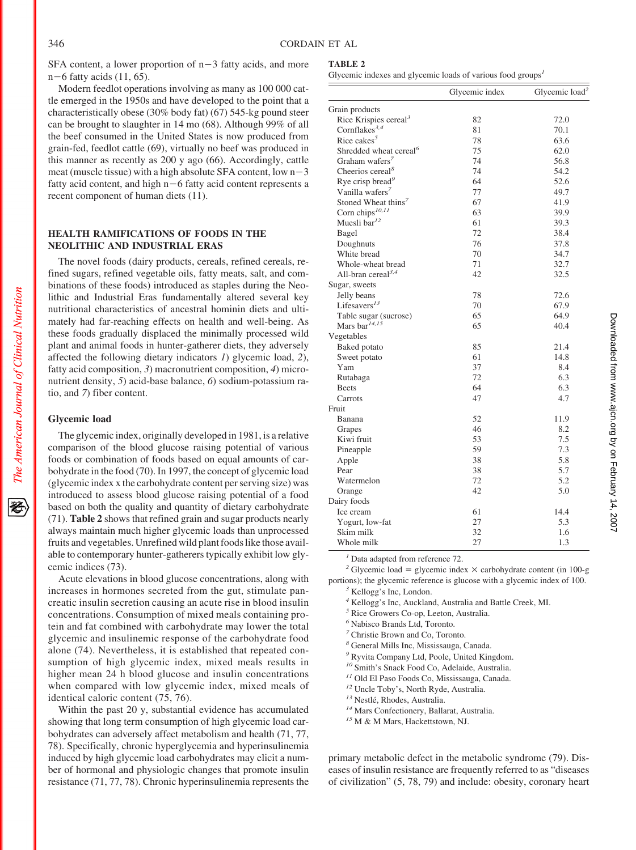SFA content, a lower proportion of  $n-3$  fatty acids, and more  $n-6$  fatty acids (11, 65).

Modern feedlot operations involving as many as 100 000 cattle emerged in the 1950s and have developed to the point that a characteristically obese (30% body fat) (67) 545-kg pound steer can be brought to slaughter in 14 mo (68). Although 99% of all the beef consumed in the United States is now produced from grain-fed, feedlot cattle (69), virtually no beef was produced in this manner as recently as 200 y ago (66). Accordingly, cattle meat (muscle tissue) with a high absolute SFA content, low  $n-3$ fatty acid content, and high  $n-6$  fatty acid content represents a recent component of human diets (11).

# **HEALTH RAMIFICATIONS OF FOODS IN THE NEOLITHIC AND INDUSTRIAL ERAS**

The novel foods (dairy products, cereals, refined cereals, refined sugars, refined vegetable oils, fatty meats, salt, and combinations of these foods) introduced as staples during the Neolithic and Industrial Eras fundamentally altered several key nutritional characteristics of ancestral hominin diets and ultimately had far-reaching effects on health and well-being. As these foods gradually displaced the minimally processed wild plant and animal foods in hunter-gatherer diets, they adversely affected the following dietary indicators *1*) glycemic load, *2*), fatty acid composition, *3*) macronutrient composition, *4*) micronutrient density, *5*) acid-base balance, *6*) sodium-potassium ratio, and *7*) fiber content.

# **Glycemic load**

The American Journal of Clinical Nutrition

The glycemic index, originally developed in 1981, is a relative comparison of the blood glucose raising potential of various foods or combination of foods based on equal amounts of carbohydrate in the food (70). In 1997, the concept of glycemic load (glycemic index x the carbohydrate content per serving size) was introduced to assess blood glucose raising potential of a food based on both the quality and quantity of dietary carbohydrate (71). **Table 2** shows that refined grain and sugar products nearly always maintain much higher glycemic loads than unprocessed fruits and vegetables. Unrefined wild plant foods like those available to contemporary hunter-gatherers typically exhibit low glycemic indices (73).

Acute elevations in blood glucose concentrations, along with increases in hormones secreted from the gut, stimulate pancreatic insulin secretion causing an acute rise in blood insulin concentrations. Consumption of mixed meals containing protein and fat combined with carbohydrate may lower the total glycemic and insulinemic response of the carbohydrate food alone (74). Nevertheless, it is established that repeated consumption of high glycemic index, mixed meals results in higher mean 24 h blood glucose and insulin concentrations when compared with low glycemic index, mixed meals of identical caloric content (75, 76).

Within the past 20 y, substantial evidence has accumulated showing that long term consumption of high glycemic load carbohydrates can adversely affect metabolism and health (71, 77, 78). Specifically, chronic hyperglycemia and hyperinsulinemia induced by high glycemic load carbohydrates may elicit a number of hormonal and physiologic changes that promote insulin resistance (71, 77, 78). Chronic hyperinsulinemia represents the

### **TABLE 2**

|                                    | Glycemic index | Glycemic load <sup>2</sup> |
|------------------------------------|----------------|----------------------------|
| Grain products                     |                |                            |
| Rice Krispies cereal <sup>3</sup>  | 82             | 72.0                       |
| Cornflakes <sup>3,4</sup>          | 81             | 70.1                       |
| Rice cakes <sup>5</sup>            | 78             | 63.6                       |
| Shredded wheat cereal <sup>6</sup> | 75             | 62.0                       |
| Graham wafers <sup>7</sup>         | 74             | 56.8                       |
| Cheerios cereal <sup>8</sup>       | 74             | 54.2                       |
| Rye crisp bread <sup>9</sup>       | 64             | 52.6                       |
| Vanilla wafers <sup>7</sup>        | 77             | 49.7                       |
| Stoned Wheat thins <sup>7</sup>    | 67             | 41.9                       |
| Corn chips <sup>10,11</sup>        | 63             | 39.9                       |
| Muesli bar $^{12}$                 | 61             | 39.3                       |
| Bagel                              | 72             | 38.4                       |
| Doughnuts                          | 76             | 37.8                       |
| White bread                        | 70             | 34.7                       |
| Whole-wheat bread                  | 71             | 32.7                       |
| All-bran cereal <sup>3,4</sup>     | 42             | 32.5                       |
| Sugar, sweets                      |                |                            |
| Jelly beans                        | 78             | 72.6                       |
| Lifesavers $^{13}$                 | 70             | 67.9                       |
| Table sugar (sucrose)              | 65             | 64.9                       |
| Mars bar <sup>14,15</sup>          | 65             | 40.4                       |
| Vegetables                         |                |                            |
| Baked potato                       | 85             | 21.4                       |
| Sweet potato                       | 61             | 14.8                       |
| Yam                                | 37             | 8.4                        |
| Rutabaga                           | 72             | 6.3                        |
| <b>Beets</b>                       | 64             | 6.3                        |
| Carrots                            | 47             | 4.7                        |
| Fruit                              |                |                            |
| Banana                             | 52             | 11.9                       |
| Grapes                             | 46             | 8.2                        |
| Kiwi fruit                         | 53             | 7.5                        |
| Pineapple                          | 59             | 7.3                        |
| Apple                              | 38             | 5.8                        |
| Pear                               | 38             | 5.7                        |
| Watermelon                         | 72             | 5.2                        |
| Orange                             | 42             | 5.0                        |
| Dairy foods                        |                |                            |
| Ice cream                          | 61             | 14.4                       |
| Yogurt, low-fat                    | 27             | 5.3                        |
| Skim milk                          | 32             | 1.6                        |
| Whole milk                         | 27             | 1.3                        |

*<sup>1</sup>* Data adapted from reference 72.

<sup>2</sup> Glycemic load = glycemic index  $\times$  carbohydrate content (in 100-g) portions); the glycemic reference is glucose with a glycemic index of 100. *<sup>3</sup>* Kellogg's Inc, London.

*<sup>4</sup>* Kellogg's Inc, Auckland, Australia and Battle Creek, MI.

*<sup>5</sup>* Rice Growers Co-op, Leeton, Australia.

- *<sup>6</sup>* Nabisco Brands Ltd, Toronto.
- *<sup>7</sup>* Christie Brown and Co, Toronto.
- 
- *<sup>8</sup>* General Mills Inc, Mississauga, Canada.

*<sup>9</sup>* Ryvita Company Ltd, Poole, United Kingdom.

*<sup>10</sup>* Smith's Snack Food Co, Adelaide, Australia.

*<sup>11</sup>* Old El Paso Foods Co, Mississauga, Canada.

*<sup>12</sup>* Uncle Toby's, North Ryde, Australia.

*<sup>13</sup>* Nestlé, Rhodes, Australia.

*<sup>14</sup>* Mars Confectionery, Ballarat, Australia.

*<sup>15</sup>* M & M Mars, Hackettstown, NJ.

primary metabolic defect in the metabolic syndrome (79). Diseases of insulin resistance are frequently referred to as "diseases of civilization" (5, 78, 79) and include: obesity, coronary heart

Glycemic indexes and glycemic loads of various food groups*<sup>1</sup>*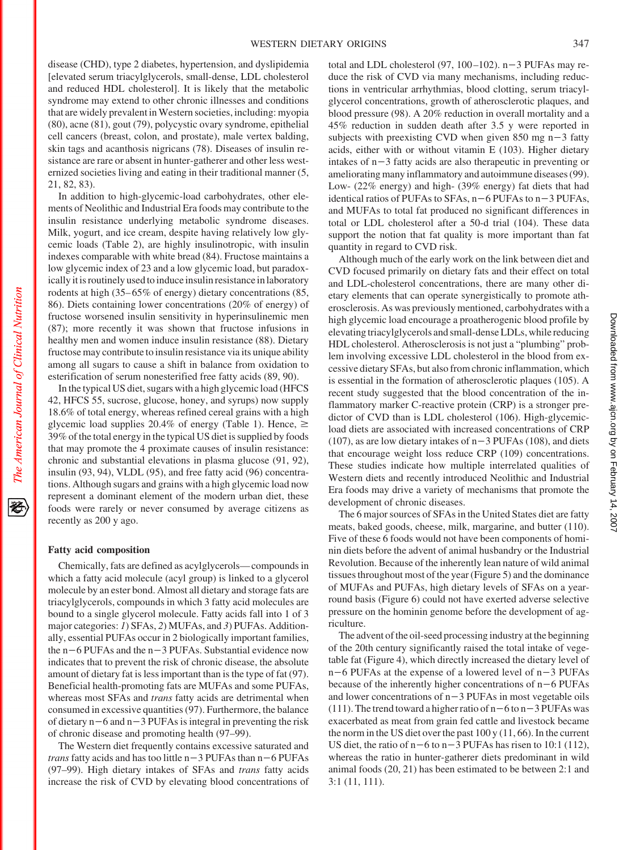disease (CHD), type 2 diabetes, hypertension, and dyslipidemia [elevated serum triacylglycerols, small-dense, LDL cholesterol and reduced HDL cholesterol]. It is likely that the metabolic syndrome may extend to other chronic illnesses and conditions that are widely prevalent inWestern societies, including: myopia (80), acne (81), gout (79), polycystic ovary syndrome, epithelial cell cancers (breast, colon, and prostate), male vertex balding, skin tags and acanthosis nigricans (78). Diseases of insulin resistance are rare or absent in hunter-gatherer and other less westernized societies living and eating in their traditional manner (5, 21, 82, 83).

In addition to high-glycemic-load carbohydrates, other elements of Neolithic and Industrial Era foods may contribute to the insulin resistance underlying metabolic syndrome diseases. Milk, yogurt, and ice cream, despite having relatively low glycemic loads (Table 2), are highly insulinotropic, with insulin indexes comparable with white bread (84). Fructose maintains a low glycemic index of 23 and a low glycemic load, but paradoxically it is routinely used to induce insulin resistance in laboratory rodents at high (35–65% of energy) dietary concentrations (85, 86). Diets containing lower concentrations (20% of energy) of fructose worsened insulin sensitivity in hyperinsulinemic men (87); more recently it was shown that fructose infusions in healthy men and women induce insulin resistance (88). Dietary fructose may contribute to insulin resistance via its unique ability among all sugars to cause a shift in balance from oxidation to esterification of serum nonesterified free fatty acids (89, 90).

In the typical US diet, sugars with a high glycemic load (HFCS 42, HFCS 55, sucrose, glucose, honey, and syrups) now supply 18.6% of total energy, whereas refined cereal grains with a high glycemic load supplies 20.4% of energy (Table 1). Hence,  $\geq$ 39% of the total energy in the typical US diet is supplied by foods that may promote the 4 proximate causes of insulin resistance: chronic and substantial elevations in plasma glucose (91, 92), insulin (93, 94), VLDL (95), and free fatty acid (96) concentrations. Although sugars and grains with a high glycemic load now represent a dominant element of the modern urban diet, these foods were rarely or never consumed by average citizens as recently as 200 y ago.

# **Fatty acid composition**

Chemically, fats are defined as acylglycerols— compounds in which a fatty acid molecule (acyl group) is linked to a glycerol molecule by an ester bond. Almost all dietary and storage fats are triacylglycerols, compounds in which 3 fatty acid molecules are bound to a single glycerol molecule. Fatty acids fall into 1 of 3 major categories: *1*) SFAs, *2*) MUFAs, and *3*) PUFAs. Additionally, essential PUFAs occur in 2 biologically important families, the  $n-6$  PUFAs and the  $n-3$  PUFAs. Substantial evidence now indicates that to prevent the risk of chronic disease, the absolute amount of dietary fat is less important than is the type of fat (97). Beneficial health-promoting fats are MUFAs and some PUFAs, whereas most SFAs and *trans* fatty acids are detrimental when consumed in excessive quantities (97). Furthermore, the balance of dietary  $n-6$  and  $n-3$  PUFAs is integral in preventing the risk of chronic disease and promoting health (97–99).

The Western diet frequently contains excessive saturated and *trans* fatty acids and has too little  $n-3$  PUFAs than  $n-6$  PUFAs (97–99). High dietary intakes of SFAs and *trans* fatty acids increase the risk of CVD by elevating blood concentrations of total and LDL cholesterol (97, 100 $-102$ ). n $-3$  PUFAs may reduce the risk of CVD via many mechanisms, including reductions in ventricular arrhythmias, blood clotting, serum triacylglycerol concentrations, growth of atherosclerotic plaques, and blood pressure (98). A 20% reduction in overall mortality and a 45% reduction in sudden death after 3.5 y were reported in subjects with preexisting CVD when given 850 mg  $n-3$  fatty acids, either with or without vitamin E (103). Higher dietary intakes of  $n-3$  fatty acids are also therapeutic in preventing or ameliorating many inflammatory and autoimmune diseases (99). Low- (22% energy) and high- (39% energy) fat diets that had identical ratios of PUFAs to  $SFAs$ ,  $n-6$  PUFAs to  $n-3$  PUFAs, and MUFAs to total fat produced no significant differences in total or LDL cholesterol after a 50-d trial (104). These data support the notion that fat quality is more important than fat quantity in regard to CVD risk.

Although much of the early work on the link between diet and CVD focused primarily on dietary fats and their effect on total and LDL-cholesterol concentrations, there are many other dietary elements that can operate synergistically to promote atherosclerosis. As was previously mentioned, carbohydrates with a high glycemic load encourage a proatherogenic blood profile by elevating triacylglycerols and small-dense LDLs, while reducing HDL cholesterol. Atherosclerosis is not just a "plumbing" problem involving excessive LDL cholesterol in the blood from excessive dietary SFAs, but also from chronic inflammation, which is essential in the formation of atherosclerotic plaques (105). A recent study suggested that the blood concentration of the inflammatory marker C-reactive protein (CRP) is a stronger predictor of CVD than is LDL cholesterol (106). High-glycemicload diets are associated with increased concentrations of CRP (107), as are low dietary intakes of  $n-3$  PUFAs (108), and diets that encourage weight loss reduce CRP (109) concentrations. These studies indicate how multiple interrelated qualities of Western diets and recently introduced Neolithic and Industrial Era foods may drive a variety of mechanisms that promote the development of chronic diseases.

The 6 major sources of SFAs in the United States diet are fatty meats, baked goods, cheese, milk, margarine, and butter (110). Five of these 6 foods would not have been components of hominin diets before the advent of animal husbandry or the Industrial Revolution. Because of the inherently lean nature of wild animal tissues throughout most of the year (Figure 5) and the dominance of MUFAs and PUFAs, high dietary levels of SFAs on a yearround basis (Figure 6) could not have exerted adverse selective pressure on the hominin genome before the development of agriculture.

The advent of the oil-seed processing industry at the beginning of the 20th century significantly raised the total intake of vegetable fat (Figure 4), which directly increased the dietary level of  $n-6$  PUFAs at the expense of a lowered level of  $n-3$  PUFAs because of the inherently higher concentrations of  $n-6$  PUFAs and lower concentrations of  $n-3$  PUFAs in most vegetable oils (111). The trend toward a higher ratio of  $n-6$  to  $n-3$  PUFAs was exacerbated as meat from grain fed cattle and livestock became the norm in the US diet over the past  $100y(11, 66)$ . In the current US diet, the ratio of  $n-6$  to  $n-3$  PUFAs has risen to 10:1 (112), whereas the ratio in hunter-gatherer diets predominant in wild animal foods (20, 21) has been estimated to be between 2:1 and 3:1 (11, 111).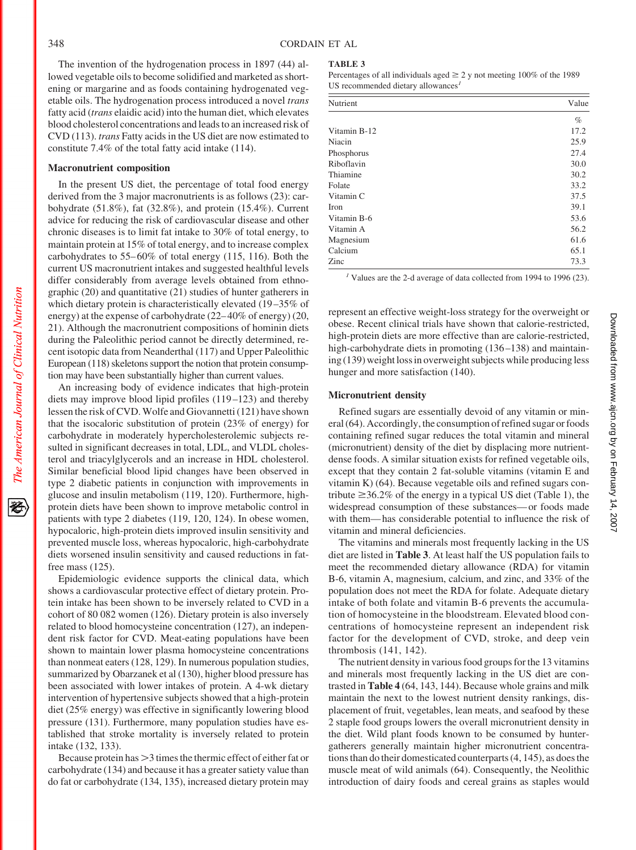The invention of the hydrogenation process in 1897 (44) allowed vegetable oils to become solidified and marketed as shortening or margarine and as foods containing hydrogenated vegetable oils. The hydrogenation process introduced a novel *trans* fatty acid (*trans* elaidic acid) into the human diet, which elevates blood cholesterol concentrations and leads to an increased risk of CVD (113). *trans* Fatty acids in the US diet are now estimated to constitute 7.4% of the total fatty acid intake (114).

# **Macronutrient composition**

In the present US diet, the percentage of total food energy derived from the 3 major macronutrients is as follows (23): carbohydrate (51.8%), fat (32.8%), and protein (15.4%). Current advice for reducing the risk of cardiovascular disease and other chronic diseases is to limit fat intake to 30% of total energy, to maintain protein at 15% of total energy, and to increase complex carbohydrates to 55– 60% of total energy (115, 116). Both the current US macronutrient intakes and suggested healthful levels differ considerably from average levels obtained from ethnographic (20) and quantitative (21) studies of hunter gatherers in which dietary protein is characteristically elevated (19-35% of energy) at the expense of carbohydrate (22–40% of energy) (20, 21). Although the macronutrient compositions of hominin diets during the Paleolithic period cannot be directly determined, recent isotopic data from Neanderthal (117) and Upper Paleolithic European (118) skeletons support the notion that protein consumption may have been substantially higher than current values.

An increasing body of evidence indicates that high-protein diets may improve blood lipid profiles (119 –123) and thereby lessen the risk of CVD. Wolfe and Giovannetti (121) have shown that the isocaloric substitution of protein (23% of energy) for carbohydrate in moderately hypercholesterolemic subjects resulted in significant decreases in total, LDL, and VLDL cholesterol and triacylglycerols and an increase in HDL cholesterol. Similar beneficial blood lipid changes have been observed in type 2 diabetic patients in conjunction with improvements in glucose and insulin metabolism (119, 120). Furthermore, highprotein diets have been shown to improve metabolic control in patients with type 2 diabetes (119, 120, 124). In obese women, hypocaloric, high-protein diets improved insulin sensitivity and prevented muscle loss, whereas hypocaloric, high-carbohydrate diets worsened insulin sensitivity and caused reductions in fatfree mass (125).

Epidemiologic evidence supports the clinical data, which shows a cardiovascular protective effect of dietary protein. Protein intake has been shown to be inversely related to CVD in a cohort of 80 082 women (126). Dietary protein is also inversely related to blood homocysteine concentration (127), an independent risk factor for CVD. Meat-eating populations have been shown to maintain lower plasma homocysteine concentrations than nonmeat eaters (128, 129). In numerous population studies, summarized by Obarzanek et al (130), higher blood pressure has been associated with lower intakes of protein. A 4-wk dietary intervention of hypertensive subjects showed that a high-protein diet (25% energy) was effective in significantly lowering blood pressure (131). Furthermore, many population studies have established that stroke mortality is inversely related to protein intake (132, 133).

Because protein has  $>$ 3 times the thermic effect of either fat or carbohydrate (134) and because it has a greater satiety value than do fat or carbohydrate (134, 135), increased dietary protein may

### **TABLE 3**

Percentages of all individuals aged  $\geq 2$  y not meeting 100% of the 1989 US recommended dietary allowances*<sup>1</sup>*

| Nutrient     | Value |
|--------------|-------|
|              | $\%$  |
| Vitamin B-12 | 17.2  |
| Niacin       | 25.9  |
| Phosphorus   | 27.4  |
| Riboflavin   | 30.0  |
| Thiamine     | 30.2  |
| Folate       | 33.2  |
| Vitamin C    | 37.5  |
| Iron         | 39.1  |
| Vitamin B-6  | 53.6  |
| Vitamin A    | 56.2  |
| Magnesium    | 61.6  |
| Calcium      | 65.1  |
| Zinc         | 73.3  |

*<sup>1</sup>* Values are the 2-d average of data collected from 1994 to 1996 (23).

represent an effective weight-loss strategy for the overweight or obese. Recent clinical trials have shown that calorie-restricted, high-protein diets are more effective than are calorie-restricted, high-carbohydrate diets in promoting (136–138) and maintaining (139) weight loss in overweight subjects while producing less hunger and more satisfaction (140).

### **Micronutrient density**

Refined sugars are essentially devoid of any vitamin or mineral (64). Accordingly, the consumption of refined sugar or foods containing refined sugar reduces the total vitamin and mineral (micronutrient) density of the diet by displacing more nutrientdense foods. A similar situation exists for refined vegetable oils, except that they contain 2 fat-soluble vitamins (vitamin E and vitamin K) (64). Because vegetable oils and refined sugars contribute  $\geq$ 36.2% of the energy in a typical US diet (Table 1), the widespread consumption of these substances— or foods made with them— has considerable potential to influence the risk of vitamin and mineral deficiencies.

The vitamins and minerals most frequently lacking in the US diet are listed in **Table 3**. At least half the US population fails to meet the recommended dietary allowance (RDA) for vitamin B-6, vitamin A, magnesium, calcium, and zinc, and 33% of the population does not meet the RDA for folate. Adequate dietary intake of both folate and vitamin B-6 prevents the accumulation of homocysteine in the bloodstream. Elevated blood concentrations of homocysteine represent an independent risk factor for the development of CVD, stroke, and deep vein thrombosis (141, 142).

The nutrient density in various food groups for the 13 vitamins and minerals most frequently lacking in the US diet are contrasted in **Table 4** (64, 143, 144). Because whole grains and milk maintain the next to the lowest nutrient density rankings, displacement of fruit, vegetables, lean meats, and seafood by these 2 staple food groups lowers the overall micronutrient density in the diet. Wild plant foods known to be consumed by huntergatherers generally maintain higher micronutrient concentrations than do their domesticated counterparts (4, 145), as does the muscle meat of wild animals (64). Consequently, the Neolithic introduction of dairy foods and cereal grains as staples would

The American Journal of Clinical Nutrition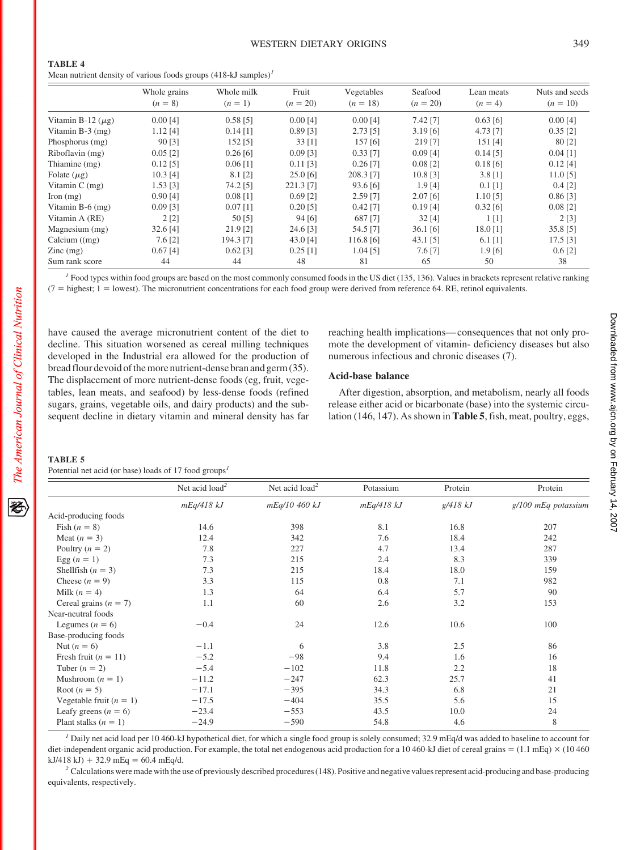The American Journal of Clinical Nutrition

Mean nutrient density of various foods groups (418-kJ samples)*<sup>1</sup>*

|                        | Whole grains<br>$(n = 8)$ | Whole milk<br>$(n = 1)$ | Fruit<br>$(n = 20)$ | Vegetables<br>$(n = 18)$ | Seafood<br>$(n = 20)$ | Lean meats<br>$(n = 4)$ | Nuts and seeds<br>$(n = 10)$ |
|------------------------|---------------------------|-------------------------|---------------------|--------------------------|-----------------------|-------------------------|------------------------------|
| Vitamin B-12 $(\mu$ g) | $0.00$ [4]                | $0.58$ [5]              | $0.00$ [4]          | $0.00$ [4]               | 7.42 [7]              | $0.63$ [6]              | $0.00$ [4]                   |
| Vitamin $B-3$ (mg)     | $1.12$ [4]                | $0.14$ [1]              | $0.89$ [3]          | $2.73$ [5]               | 3.19[6]               | 4.73 [7]                | $0.35$ [2]                   |
| Phosphorus (mg)        | 90[3]                     | 152 [5]                 | 33[1]               | 157[6]                   | 219 [7]               | 151[4]                  | 80 [2]                       |
| Riboflavin (mg)        | $0.05$ [2]                | $0.26$ [6]              | $0.09$ [3]          | $0.33$ [7]               | $0.09$ [4]            | $0.14$ [5]              | $0.04$ [1]                   |
| Thiamine (mg)          | $0.12$ [5]                | $0.06$ [1]              | $0.11$ [3]          | $0.26$ [7]               | $0.08$ [2]            | $0.18$ [6]              | $0.12$ [4]                   |
| Folate $(\mu g)$       | $10.3$ [4]                | $8.1$ [2]               | $25.0$ [6]          | 208.3 [7]                | 10.8 [3]              | $3.8$ [1]               | $11.0$ [5]                   |
| Vitamin $C$ (mg)       | 1.53 [3]                  | 74.2 [5]                | 221.3 [7]           | 93.6 [6]                 | 1.9[4]                | $0.1$ [1]               | $0.4$ [2]                    |
| $\Gamma$ Iron $(mg)$   | $0.90$ [4]                | $0.08$ [1]              | $0.69$ [2]          | 2.59 [7]                 | $2.07$ [6]            | $1.10$ [5]              | $0.86$ [3]                   |
| Vitamin $B-6$ (mg)     | $0.09$ [3]                | $0.07$ [1]              | $0.20$ [5]          | $0.42$ [7]               | 0.19[4]               | $0.32$ [6]              | $0.08$ [2]                   |
| Vitamin A (RE)         | 2[2]                      | 50 [5]                  | 94[6]               | 687 [7]                  | 32[4]                 | 1 <sub>[1]</sub>        | 2[3]                         |
| Magnesium (mg)         | 32.6 [4]                  | 21.9 [2]                | 24.6 [3]            | 54.5 [7]                 | $36.1$ [6]            | 18.0 [1]                | 35.8 [5]                     |
| Calcium $((mg))$       | 7.6[2]                    | 194.3 [7]               | 43.0 $[4]$          | 116.8 [6]                | $43.1$ [5]            | $6.1$ [1]               | $17.5$ [3]                   |
| $\text{Zinc}$ (mg)     | $0.67$ [4]                | $0.62$ [3]              | $0.25$ [1]          | $1.04$ [5]               | 7.6[7]                | 1.9[6]                  | $0.6 \,[2]$                  |
| Sum rank score         | 44                        | 44                      | 48                  | 81                       | 65                    | 50                      | 38                           |

 $<sup>I</sup>$  Food types within food groups are based on the most commonly consumed foods in the US diet (135, 136). Values in brackets represent relative ranking</sup>  $(7 =$  highest;  $1 =$  lowest). The micronutrient concentrations for each food group were derived from reference 64. RE, retinol equivalents.

have caused the average micronutrient content of the diet to decline. This situation worsened as cereal milling techniques developed in the Industrial era allowed for the production of bread flour devoid of the more nutrient-dense bran and germ (35). The displacement of more nutrient-dense foods (eg, fruit, vegetables, lean meats, and seafood) by less-dense foods (refined sugars, grains, vegetable oils, and dairy products) and the subsequent decline in dietary vitamin and mineral density has far reaching health implications— consequences that not only promote the development of vitamin- deficiency diseases but also numerous infectious and chronic diseases (7).

### **Acid-base balance**

After digestion, absorption, and metabolism, nearly all foods release either acid or bicarbonate (base) into the systemic circulation (146, 147). As shown in **Table 5**, fish, meat, poultry, eggs,

**TABLE 5** Potential net acid (or base) loads of 17 food groups*<sup>1</sup>*

| Potassium<br>Protein<br>Protein<br>mEq/418 kJ<br>g/418 kJ<br>g/100 mEq potassium<br>8.1<br>16.8<br>207<br>7.6<br>242<br>18.4<br>4.7<br>287<br>13.4<br>2.4<br>8.3<br>339 |                  |
|-------------------------------------------------------------------------------------------------------------------------------------------------------------------------|------------------|
|                                                                                                                                                                         |                  |
|                                                                                                                                                                         |                  |
|                                                                                                                                                                         |                  |
|                                                                                                                                                                         |                  |
|                                                                                                                                                                         |                  |
|                                                                                                                                                                         |                  |
|                                                                                                                                                                         |                  |
| 18.4<br>18.0<br>159                                                                                                                                                     |                  |
| 0.8<br>982<br>7.1                                                                                                                                                       |                  |
| 6.4<br>5.7<br>90                                                                                                                                                        |                  |
| 2.6<br>3.2<br>153                                                                                                                                                       |                  |
|                                                                                                                                                                         |                  |
| 12.6<br>10.6<br>100                                                                                                                                                     |                  |
|                                                                                                                                                                         |                  |
| 3.8<br>2.5<br>86                                                                                                                                                        |                  |
| 9.4<br>16<br>1.6                                                                                                                                                        |                  |
| 18<br>11.8<br>2.2                                                                                                                                                       |                  |
| 62.3<br>41<br>25.7                                                                                                                                                      |                  |
| 34.3<br>21<br>6.8                                                                                                                                                       |                  |
| 35.5<br>15<br>5.6                                                                                                                                                       |                  |
| 43.5<br>24<br>10.0                                                                                                                                                      |                  |
|                                                                                                                                                                         |                  |
|                                                                                                                                                                         | 8<br>54.8<br>4.6 |

*<sup>1</sup>* Daily net acid load per 10 460-kJ hypothetical diet, for which a single food group is solely consumed; 32.9 mEq/d was added to baseline to account for diet-independent organic acid production. For example, the total net endogenous acid production for a 10 460-kJ diet of cereal grains =  $(1.1 \text{ mEq}) \times (10 \text{ 460})$  $kJ/418$  kJ) + 32.9 mEq = 60.4 mEq/d.

*<sup>2</sup>* Calculations were made with the use of previously described procedures (148). Positive and negative values represent acid-producing and base-producing equivalents, respectively.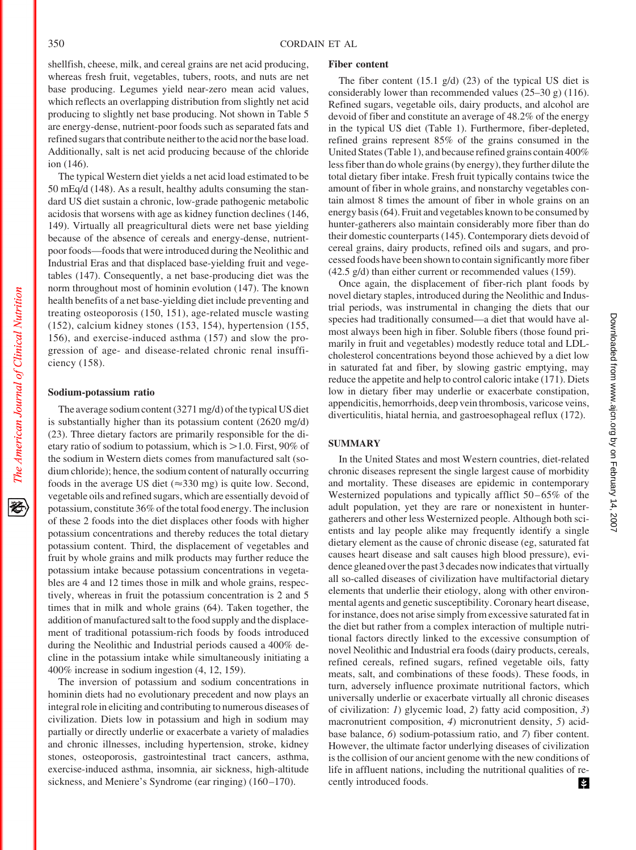shellfish, cheese, milk, and cereal grains are net acid producing, whereas fresh fruit, vegetables, tubers, roots, and nuts are net base producing. Legumes yield near-zero mean acid values, which reflects an overlapping distribution from slightly net acid producing to slightly net base producing. Not shown in Table 5 are energy-dense, nutrient-poor foods such as separated fats and refined sugars that contribute neither to the acid nor the base load. Additionally, salt is net acid producing because of the chloride ion (146).

The typical Western diet yields a net acid load estimated to be 50 mEq/d (148). As a result, healthy adults consuming the standard US diet sustain a chronic, low-grade pathogenic metabolic acidosis that worsens with age as kidney function declines (146, 149). Virtually all preagricultural diets were net base yielding because of the absence of cereals and energy-dense, nutrientpoor foods—foods that were introduced during the Neolithic and Industrial Eras and that displaced base-yielding fruit and vegetables (147). Consequently, a net base-producing diet was the norm throughout most of hominin evolution (147). The known health benefits of a net base-yielding diet include preventing and treating osteoporosis (150, 151), age-related muscle wasting (152), calcium kidney stones (153, 154), hypertension (155, 156), and exercise-induced asthma (157) and slow the progression of age- and disease-related chronic renal insufficiency (158).

### **Sodium-potassium ratio**

The average sodium content (3271 mg/d) of the typical US diet is substantially higher than its potassium content (2620 mg/d) (23). Three dietary factors are primarily responsible for the dietary ratio of sodium to potassium, which is  $>$  1.0. First, 90% of the sodium in Western diets comes from manufactured salt (sodium chloride); hence, the sodium content of naturally occurring foods in the average US diet ( $\approx$ 330 mg) is quite low. Second, vegetable oils and refined sugars, which are essentially devoid of potassium, constitute 36% of the total food energy. The inclusion of these 2 foods into the diet displaces other foods with higher potassium concentrations and thereby reduces the total dietary potassium content. Third, the displacement of vegetables and fruit by whole grains and milk products may further reduce the potassium intake because potassium concentrations in vegetables are 4 and 12 times those in milk and whole grains, respectively, whereas in fruit the potassium concentration is 2 and 5 times that in milk and whole grains (64). Taken together, the addition of manufactured salt to the food supply and the displacement of traditional potassium-rich foods by foods introduced during the Neolithic and Industrial periods caused a 400% decline in the potassium intake while simultaneously initiating a 400% increase in sodium ingestion (4, 12, 159).

The inversion of potassium and sodium concentrations in hominin diets had no evolutionary precedent and now plays an integral role in eliciting and contributing to numerous diseases of civilization. Diets low in potassium and high in sodium may partially or directly underlie or exacerbate a variety of maladies and chronic illnesses, including hypertension, stroke, kidney stones, osteoporosis, gastrointestinal tract cancers, asthma, exercise-induced asthma, insomnia, air sickness, high-altitude sickness, and Meniere's Syndrome (ear ringing) (160–170).

### **Fiber content**

The fiber content  $(15.1 \text{ g/d})$   $(23)$  of the typical US diet is considerably lower than recommended values (25–30 g) (116). Refined sugars, vegetable oils, dairy products, and alcohol are devoid of fiber and constitute an average of 48.2% of the energy in the typical US diet (Table 1). Furthermore, fiber-depleted, refined grains represent 85% of the grains consumed in the United States (Table 1), and because refined grains contain 400% less fiber than do whole grains (by energy), they further dilute the total dietary fiber intake. Fresh fruit typically contains twice the amount of fiber in whole grains, and nonstarchy vegetables contain almost 8 times the amount of fiber in whole grains on an energy basis (64). Fruit and vegetables known to be consumed by hunter-gatherers also maintain considerably more fiber than do their domestic counterparts (145). Contemporary diets devoid of cereal grains, dairy products, refined oils and sugars, and processed foods have been shown to contain significantly more fiber (42.5 g/d) than either current or recommended values (159).

Once again, the displacement of fiber-rich plant foods by novel dietary staples, introduced during the Neolithic and Industrial periods, was instrumental in changing the diets that our species had traditionally consumed—a diet that would have almost always been high in fiber. Soluble fibers (those found primarily in fruit and vegetables) modestly reduce total and LDLcholesterol concentrations beyond those achieved by a diet low in saturated fat and fiber, by slowing gastric emptying, may reduce the appetite and help to control caloric intake (171). Diets low in dietary fiber may underlie or exacerbate constipation, appendicitis, hemorrhoids, deep vein thrombosis, varicose veins, diverticulitis, hiatal hernia, and gastroesophageal reflux (172).

# **SUMMARY**

In the United States and most Western countries, diet-related chronic diseases represent the single largest cause of morbidity and mortality. These diseases are epidemic in contemporary Westernized populations and typically afflict  $50 - 65\%$  of the adult population, yet they are rare or nonexistent in huntergatherers and other less Westernized people. Although both scientists and lay people alike may frequently identify a single dietary element as the cause of chronic disease (eg, saturated fat causes heart disease and salt causes high blood pressure), evidence gleaned over the past 3 decades now indicates that virtually all so-called diseases of civilization have multifactorial dietary elements that underlie their etiology, along with other environmental agents and genetic susceptibility. Coronary heart disease, for instance, does not arise simply from excessive saturated fat in the diet but rather from a complex interaction of multiple nutritional factors directly linked to the excessive consumption of novel Neolithic and Industrial era foods (dairy products, cereals, refined cereals, refined sugars, refined vegetable oils, fatty meats, salt, and combinations of these foods). These foods, in turn, adversely influence proximate nutritional factors, which universally underlie or exacerbate virtually all chronic diseases of civilization: *1*) glycemic load, *2*) fatty acid composition, *3*) macronutrient composition, *4*) micronutrient density, *5*) acidbase balance, *6*) sodium-potassium ratio, and *7*) fiber content. However, the ultimate factor underlying diseases of civilization is the collision of our ancient genome with the new conditions of life in affluent nations, including the nutritional qualities of recently introduced foods. И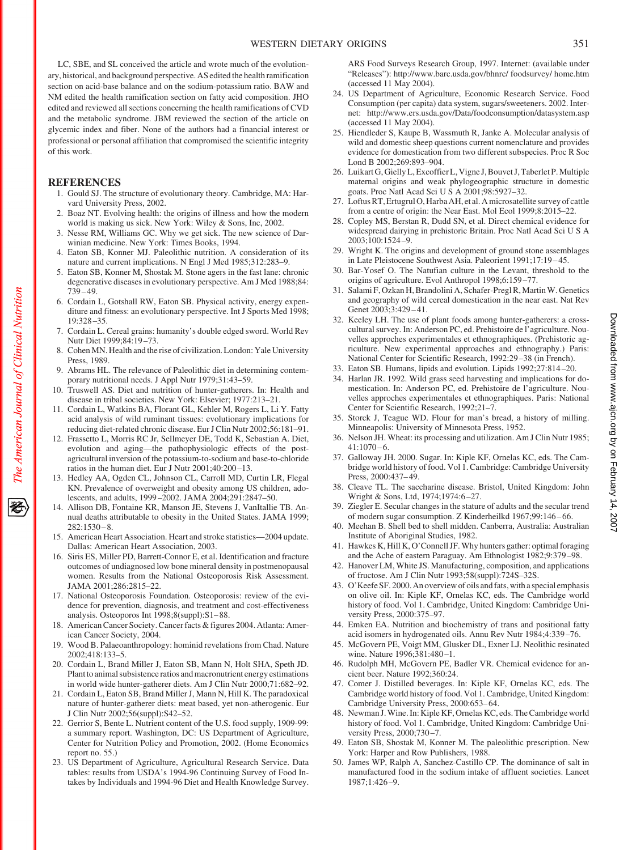LC, SBE, and SL conceived the article and wrote much of the evolutionary, historical, and background perspective. AS edited the health ramification section on acid-base balance and on the sodium-potassium ratio. BAW and NM edited the health ramification section on fatty acid composition. JHO edited and reviewed all sections concerning the health ramifications of CVD and the metabolic syndrome. JBM reviewed the section of the article on glycemic index and fiber. None of the authors had a financial interest or professional or personal affiliation that compromised the scientific integrity of this work.

### **REFERENCES**

- 1. Gould SJ. The structure of evolutionary theory. Cambridge, MA: Harvard University Press, 2002.
- 2. Boaz NT. Evolving health: the origins of illness and how the modern world is making us sick. New York: Wiley & Sons, Inc, 2002.
- 3. Nesse RM, Williams GC. Why we get sick. The new science of Darwinian medicine. New York: Times Books, 1994.
- 4. Eaton SB, Konner MJ. Paleolithic nutrition. A consideration of its nature and current implications. N Engl J Med 1985;312:283–9.
- 5. Eaton SB, Konner M, Shostak M. Stone agers in the fast lane: chronic degenerative diseases in evolutionary perspective. Am J Med 1988;84:  $739 - 49$ .
- 6. Cordain L, Gotshall RW, Eaton SB. Physical activity, energy expenditure and fitness: an evolutionary perspective. Int J Sports Med 1998; 19:328 –35.
- 7. Cordain L. Cereal grains: humanity's double edged sword. World Rev Nutr Diet 1999;84:19 –73.
- 8. CohenMN. Health and the rise of civilization. London: Yale University Press, 1989.
- 9. Abrams HL. The relevance of Paleolithic diet in determining contemporary nutritional needs. J Appl Nutr 1979;31:43–59.
- 10. Truswell AS. Diet and nutrition of hunter-gatherers. In: Health and disease in tribal societies. New York: Elsevier; 1977:213–21.
- 11. Cordain L, Watkins BA, Florant GL, Kehler M, Rogers L, Li Y. Fatty acid analysis of wild ruminant tissues: evolutionary implications for reducing diet-related chronic disease. Eur J Clin Nutr 2002;56:181–91.
- 12. Frassetto L, Morris RC Jr, Sellmeyer DE, Todd K, Sebastian A. Diet, evolution and aging—the pathophysiologic effects of the postagricultural inversion of the potassium-to-sodium and base-to-chloride ratios in the human diet. Eur J Nutr 2001;40:200 –13.
- 13. Hedley AA, Ogden CL, Johnson CL, Carroll MD, Curtin LR, Flegal KN. Prevalence of overweight and obesity among US children, adolescents, and adults, 1999 –2002. JAMA 2004;291:2847–50.
- 14. Allison DB, Fontaine KR, Manson JE, Stevens J, VanItallie TB. Annual deaths attributable to obesity in the United States. JAMA 1999; 282:1530 – 8.
- 15. American Heart Association. Heart and stroke statistics—2004 update. Dallas: American Heart Association, 2003.
- 16. Siris ES, Miller PD, Barrett-Connor E, et al. Identification and fracture outcomes of undiagnosed low bone mineral density in postmenopausal women. Results from the National Osteoporosis Risk Assessment. JAMA 2001;286:2815–22.
- 17. National Osteoporosis Foundation. Osteoporosis: review of the evidence for prevention, diagnosis, and treatment and cost-effectiveness analysis. Osteoporos Int 1998;8(suppl):S1-88.
- 18. American Cancer Society. Cancer facts & figures 2004. Atlanta: American Cancer Society, 2004.
- 19. Wood B. Palaeoanthropology: hominid revelations from Chad. Nature 2002;418:133–5.
- 20. Cordain L, Brand Miller J, Eaton SB, Mann N, Holt SHA, Speth JD. Plantto animal subsistence ratios and macronutrient energy estimations in world wide hunter-gatherer diets. Am J Clin Nutr 2000;71:682–92.
- 21. Cordain L, Eaton SB, Brand Miller J, Mann N, Hill K. The paradoxical nature of hunter-gatherer diets: meat based, yet non-atherogenic. Eur J Clin Nutr 2002;56(suppl):S42–52.
- 22. Gerrior S, Bente L. Nutrient content of the U.S. food supply, 1909-99: a summary report. Washington, DC: US Department of Agriculture, Center for Nutrition Policy and Promotion, 2002. (Home Economics report no. 55.)
- 23. US Department of Agriculture, Agricultural Research Service. Data tables: results from USDA's 1994-96 Continuing Survey of Food Intakes by Individuals and 1994-96 Diet and Health Knowledge Survey.

ARS Food Surveys Research Group, 1997. Internet: (available under "Releases"): http://www.barc.usda.gov/bhnrc/ foodsurvey/ home.htm (accessed 11 May 2004).

- 24. US Department of Agriculture, Economic Research Service. Food Consumption (per capita) data system, sugars/sweeteners. 2002. Internet: http://www.ers.usda.gov/Data/foodconsumption/datasystem.asp (accessed 11 May 2004).
- 25. Hiendleder S, Kaupe B, Wassmuth R, Janke A. Molecular analysis of wild and domestic sheep questions current nomenclature and provides evidence for domestication from two different subspecies. Proc R Soc Lond B 2002;269:893–904.
- 26. Luikart G, Gielly L, Excoffier L, Vigne J, Bouvet J, Taberlet P.Multiple maternal origins and weak phylogeographic structure in domestic goats. Proc Natl Acad SciUSA 2001;98:5927–32.
- 27. Loftus RT, Ertugrul O, Harba AH, et al. A microsatellite survey of cattle from a centre of origin: the Near East. Mol Ecol 1999;8:2015–22.
- 28. Copley MS, Berstan R, Dudd SN, et al. Direct chemical evidence for widespread dairying in prehistoric Britain. Proc Natl Acad Sci U S A 2003;100:1524 –9.
- 29. Wright K. The origins and development of ground stone assemblages in Late Pleistocene Southwest Asia. Paleorient 1991;17:19 – 45.
- 30. Bar-Yosef O. The Natufian culture in the Levant, threshold to the origins of agriculture. Evol Anthropol 1998;6:159 –77.
- 31. Salami F, Ozkan H, Brandolini A, Schafer-Pregl R, MartinW. Genetics and geography of wild cereal domestication in the near east. Nat Rev Genet 2003;3:429 – 41.
- 32. Keeley LH. The use of plant foods among hunter-gatherers: a crosscultural survey. In: Anderson PC, ed. Prehistoire de l'agriculture. Nouvelles approches experimentales et ethnographiques. (Prehistoric agriculture. New experimental approaches and ethnography.) Paris: National Center for Scientific Research, 1992:29 –38 (in French).
- 33. Eaton SB. Humans, lipids and evolution. Lipids 1992;27:814 –20.
- 34. Harlan JR. 1992. Wild grass seed harvesting and implications for domestication. In: Anderson PC, ed. Prehistoire de l'agriculture. Nouvelles approches experimentales et ethnographiques. Paris: National Center for Scientific Research, 1992;21–7.
- 35. Storck J, Teague WD. Flour for man's bread, a history of milling. Minneapolis: University of Minnesota Press, 1952.
- 36. Nelson JH. Wheat: its processing and utilization. Am J Clin Nutr 1985;  $41:1070 - 6.$
- 37. Galloway JH. 2000. Sugar. In: Kiple KF, Ornelas KC, eds. The Cambridge world history of food. Vol 1. Cambridge: Cambridge University Press, 2000:437-49.
- 38. Cleave TL. The saccharine disease. Bristol, United Kingdom: John Wright & Sons, Ltd, 1974;1974:6 –27.
- 39. Ziegler E. Secular changes in the stature of adults and the secular trend of modern sugar consumption. Z Kinderheilkd 1967;99:146 – 66.
- Meehan B. Shell bed to shell midden. Canberra, Australia: Australian Institute of Aboriginal Studies, 1982.
- 41. Hawkes K, Hill K, O'Connell JF.Why hunters gather: optimal foraging and the Ache of eastern Paraguay. Am Ethnologist 1982;9:379 –98.
- 42. Hanover LM, White JS. Manufacturing, composition, and applications of fructose. Am J Clin Nutr 1993;58(suppl):724S–32S.
- 43. O'Keefe SF. 2000. An overview of oils and fats, with a special emphasis on olive oil. In: Kiple KF, Ornelas KC, eds. The Cambridge world history of food. Vol 1. Cambridge, United Kingdom: Cambridge University Press, 2000:375–97.
- 44. Emken EA. Nutrition and biochemistry of trans and positional fatty acid isomers in hydrogenated oils. Annu Rev Nutr 1984;4:339 –76.
- 45. McGovern PE, Voigt MM, Glusker DL, Exner LJ. Neolithic resinated wine. Nature 1996;381:480-1.
- 46. Rudolph MH, McGovern PE, Badler VR. Chemical evidence for ancient beer. Nature 1992;360:24.
- 47. Comer J. Distilled beverages. In: Kiple KF, Ornelas KC, eds. The Cambridge world history of food. Vol 1. Cambridge, United Kingdom: Cambridge University Press, 2000:653-64.
- 48. Newman J.Wine. In: Kiple KF, Ornelas KC, eds. The Cambridge world history of food. Vol 1. Cambridge, United Kingdom: Cambridge University Press, 2000;730 –7.
- 49. Eaton SB, Shostak M, Konner M. The paleolithic prescription. New York: Harper and Row Publishers, 1988.
- 50. James WP, Ralph A, Sanchez-Castillo CP. The dominance of salt in manufactured food in the sodium intake of affluent societies. Lancet 1987;1:426 –9.

移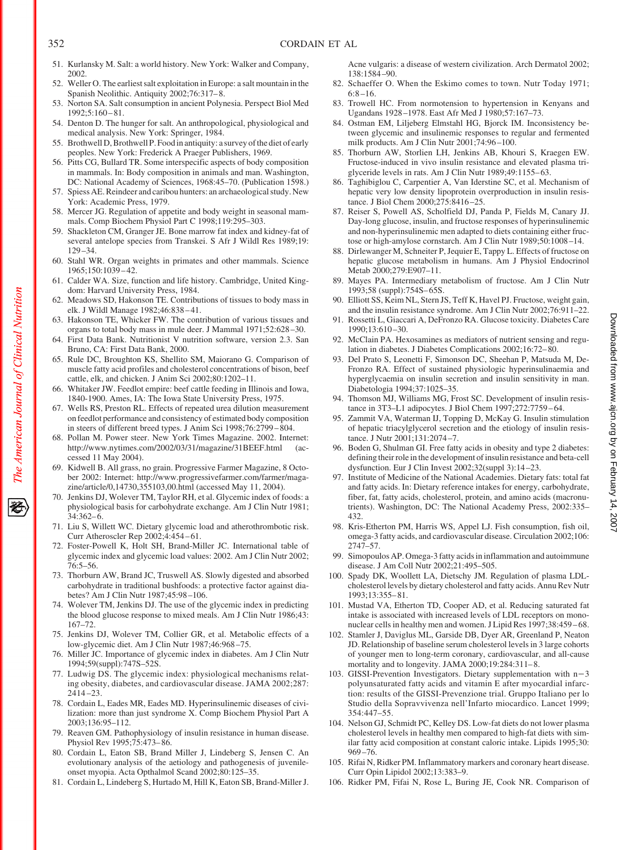- 51. Kurlansky M. Salt: a world history. New York: Walker and Company, 2002.
- 52. Weller O. The earliest salt exploitation in Europe: a salt mountain in the Spanish Neolithic. Antiquity 2002;76:317-8.
- 53. Norton SA. Salt consumption in ancient Polynesia. Perspect Biol Med 1992;5:160 – 81.
- 54. Denton D. The hunger for salt. An anthropological, physiological and medical analysis. New York: Springer, 1984.
- 55. Brothwell D, Brothwell P. Food in antiquity: a survey of the diet of early peoples. New York: Frederick A Praeger Publishers, 1969.
- 56. Pitts CG, Bullard TR. Some interspecific aspects of body composition in mammals. In: Body composition in animals and man. Washington, DC: National Academy of Sciences, 1968:45–70. (Publication 1598.)
- 57. Spiess AE. Reindeer and caribou hunters: an archaeological study. New York: Academic Press, 1979.
- 58. Mercer JG. Regulation of appetite and body weight in seasonal mammals. Comp Biochem Physiol Part C 1998;119:295–303.
- 59. Shackleton CM, Granger JE. Bone marrow fat index and kidney-fat of several antelope species from Transkei. S Afr J Wildl Res 1989;19: 129 –34.
- 60. Stahl WR. Organ weights in primates and other mammals. Science 1965;150:1039 – 42.
- 61. Calder WA. Size, function and life history. Cambridge, United Kingdom: Harvard University Press, 1984.
- 62. Meadows SD, Hakonson TE. Contributions of tissues to body mass in elk. J Wildl Manage 1982;46:838 – 41.
- 63. Hakonson TE, Whicker FW. The contribution of various tissues and organs to total body mass in mule deer. J Mammal 1971;52:628 –30.
- 64. First Data Bank. Nutritionist V nutrition software, version 2.3. San Bruno, CA: First Data Bank, 2000.
- 65. Rule DC, Broughton KS, Shellito SM, Maiorano G. Comparison of muscle fatty acid profiles and cholesterol concentrations of bison, beef cattle, elk, and chicken. J Anim Sci 2002;80:1202–11.
- 66. Whitaker JW. Feedlot empire: beef cattle feeding in Illinois and Iowa, 1840-1900. Ames, IA: The Iowa State University Press, 1975.
- 67. Wells RS, Preston RL. Effects of repeated urea dilution measurement on feedlot performance and consistency of estimated body composition in steers of different breed types. J Anim Sci 1998;76:2799 – 804.
- 68. Pollan M. Power steer. New York Times Magazine. 2002. Internet: http://www.nytimes.com/2002/03/31/magazine/31BEEF.html (accessed 11 May 2004).
- 69. Kidwell B. All grass, no grain. Progressive Farmer Magazine, 8 October 2002: Internet: http://www.progressivefarmer.com/farmer/magazine/article/0,14730,355103,00.html (accessed May 11, 2004).
- 70. Jenkins DJ, Wolever TM, Taylor RH, et al. Glycemic index of foods: a physiological basis for carbohydrate exchange. Am J Clin Nutr 1981;  $34:362-6.$
- 71. Liu S, Willett WC. Dietary glycemic load and atherothrombotic risk. Curr Atheroscler Rep 2002;4:454 – 61.
- 72. Foster-Powell K, Holt SH, Brand-Miller JC. International table of glycemic index and glycemic load values: 2002. Am J Clin Nutr 2002; 76:5–56.
- 73. Thorburn AW, Brand JC, Truswell AS. Slowly digested and absorbed carbohydrate in traditional bushfoods: a protective factor against diabetes? Am J Clin Nutr 1987;45:98 –106.
- 74. Wolever TM, Jenkins DJ. The use of the glycemic index in predicting the blood glucose response to mixed meals. Am J Clin Nutr 1986;43: 167–72.
- 75. Jenkins DJ, Wolever TM, Collier GR, et al. Metabolic effects of a low-glycemic diet. Am J Clin Nutr 1987;46:968 –75.
- 76. Miller JC. Importance of glycemic index in diabetes. Am J Clin Nutr 1994;59(suppl):747S–52S.
- 77. Ludwig DS. The glycemic index: physiological mechanisms relating obesity, diabetes, and cardiovascular disease. JAMA 2002;287: 2414 –23.
- 78. Cordain L, Eades MR, Eades MD. Hyperinsulinemic diseases of civilization: more than just syndrome X. Comp Biochem Physiol Part A 2003;136:95–112.
- 79. Reaven GM. Pathophysiology of insulin resistance in human disease. Physiol Rev 1995;75:473– 86.
- 80. Cordain L, Eaton SB, Brand Miller J, Lindeberg S, Jensen C. An evolutionary analysis of the aetiology and pathogenesis of juvenileonset myopia. Acta Opthalmol Scand 2002;80:125–35.
- 81. Cordain L, Lindeberg S, Hurtado M, Hill K, Eaton SB, Brand-Miller J.

Acne vulgaris: a disease of western civilization. Arch Dermatol 2002; 138:1584 –90.

- 82. Schaeffer O. When the Eskimo comes to town. Nutr Today 1971;  $6:8 - 16$ .
- 83. Trowell HC. From normotension to hypertension in Kenyans and Ugandans 1928 –1978. East Afr Med J 1980;57:167–73.
- 84. Ostman EM, Liljeberg Elmstahl HG, Bjorck IM. Inconsistency between glycemic and insulinemic responses to regular and fermented milk products. Am J Clin Nutr 2001;74:96 –100.
- 85. Thorburn AW, Storlien LH, Jenkins AB, Khouri S, Kraegen EW. Fructose-induced in vivo insulin resistance and elevated plasma triglyceride levels in rats. Am J Clin Nutr 1989;49:1155– 63.
- 86. Taghibiglou C, Carpentier A, Van Iderstine SC, et al. Mechanism of hepatic very low density lipoprotein overproduction in insulin resistance. J Biol Chem 2000;275:8416 –25.
- 87. Reiser S, Powell AS, Scholfield DJ, Panda P, Fields M, Canary JJ. Day-long glucose, insulin, and fructose responses of hyperinsulinemic and non-hyperinsulinemic men adapted to diets containing either fructose or high-amylose cornstarch. Am J Clin Nutr 1989;50:1008 –14.
- 88. Dirlewanger M, Schneiter P, Jequier E, Tappy L. Effects of fructose on hepatic glucose metabolism in humans. Am J Physiol Endocrinol Metab 2000;279:E907–11.
- 89. Mayes PA. Intermediary metabolism of fructose. Am J Clin Nutr 1993;58 (suppl):754S– 65S.
- Elliott SS, Keim NL, Stern JS, Teff K, Havel PJ. Fructose, weight gain, and the insulin resistance syndrome. Am J Clin Nutr 2002;76:911–22.
- 91. Rossetti L, Giaccari A, DeFronzo RA. Glucose toxicity. Diabetes Care 1990;13:610 –30.
- 92. McClain PA. Hexosamines as mediators of nutrient sensing and regulation in diabetes. J Diabetes Complications 2002;16:72– 80.
- 93. Del Prato S, Leonetti F, Simonson DC, Sheehan P, Matsuda M, De-Fronzo RA. Effect of sustained physiologic hyperinsulinaemia and hyperglycaemia on insulin secretion and insulin sensitivity in man. Diabetologia 1994;37:1025–35.
- 94. Thomson MJ, Williams MG, Frost SC. Development of insulin resistance in 3T3–L1 adipocytes. J Biol Chem 1997;272:7759 – 64.
- 95. Zammit VA, Waterman IJ, Topping D, McKay G. Insulin stimulation of hepatic triacylglycerol secretion and the etiology of insulin resistance. J Nutr 2001;131:2074 –7.
- 96. Boden G, Shulman GI. Free fatty acids in obesity and type 2 diabetes: defining their role in the development of insulin resistance and beta-cell dysfunction. Eur J Clin Invest 2002;32(suppl 3):14 –23.
- 97. Institute of Medicine of the National Academies. Dietary fats: total fat and fatty acids. In: Dietary reference intakes for energy, carbohydrate, fiber, fat, fatty acids, cholesterol, protein, and amino acids (macronutrients). Washington, DC: The National Academy Press, 2002:335– 432.
- 98. Kris-Etherton PM, Harris WS, Appel LJ. Fish consumption, fish oil, omega-3 fatty acids, and cardiovascular disease. Circulation 2002;106: 2747–57.
- 99. Simopoulos AP. Omega-3 fatty acids in inflammation and autoimmune disease. J Am Coll Nutr 2002;21:495–505.
- 100. Spady DK, Woollett LA, Dietschy JM. Regulation of plasma LDLcholesterol levels by dietary cholesterol and fatty acids. Annu Rev Nutr 1993;13:355– 81.
- 101. Mustad VA, Etherton TD, Cooper AD, et al. Reducing saturated fat intake is associated with increased levels of LDL receptors on mononuclear cells in healthy men and women. J Lipid Res 1997;38:459 – 68.
- 102. Stamler J, Daviglus ML, Garside DB, Dyer AR, Greenland P, Neaton JD. Relationship of baseline serum cholesterol levels in 3 large cohorts of younger men to long-term coronary, cardiovascular, and all-cause mortality and to longevity. JAMA 2000;19:284:311– 8.
- 103. GISSI-Prevention Investigators. Dietary supplementation with  $n-3$ polyunsaturated fatty acids and vitamin E after myocardial infarction: results of the GISSI-Prevenzione trial. Gruppo Italiano per lo Studio della Sopravvivenza nell'Infarto miocardico. Lancet 1999; 354:447–55.
- 104. Nelson GJ, Schmidt PC, Kelley DS. Low-fat diets do not lower plasma cholesterol levels in healthy men compared to high-fat diets with similar fatty acid composition at constant caloric intake. Lipids 1995;30: 969 –76.
- 105. Rifai N, Ridker PM. Inflammatory markers and coronary heart disease. Curr Opin Lipidol 2002;13:383–9.
- 106. Ridker PM, Fifai N, Rose L, Buring JE, Cook NR. Comparison of

The American Journal of Clinical Nutrition

祬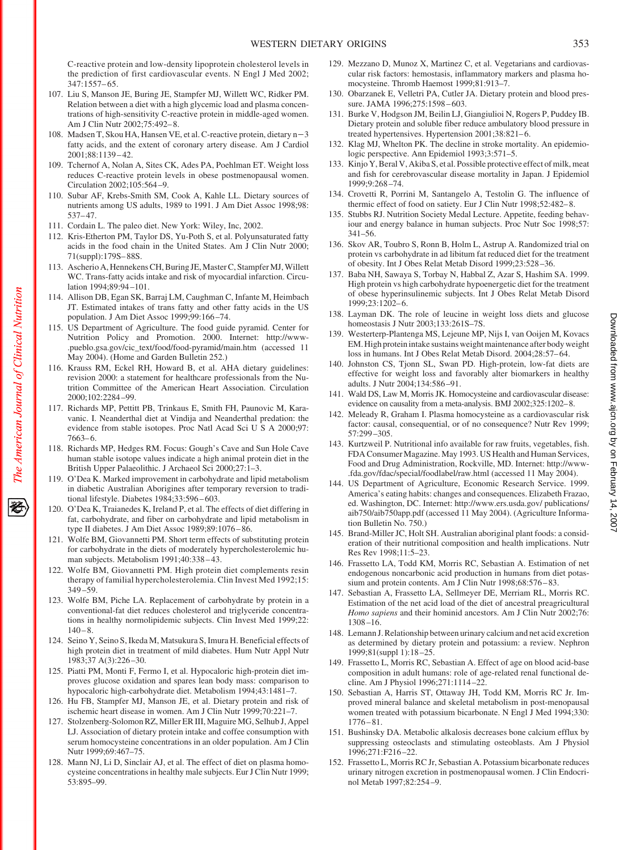C-reactive protein and low-density lipoprotein cholesterol levels in the prediction of first cardiovascular events. N Engl J Med 2002; 347:1557– 65.

- 107. Liu S, Manson JE, Buring JE, Stampfer MJ, Willett WC, Ridker PM. Relation between a diet with a high glycemic load and plasma concentrations of high-sensitivity C-reactive protein in middle-aged women. Am J Clin Nutr 2002;75:492– 8.
- 108. Madsen T, Skou HA, Hansen VE, et al. C-reactive protein, dietary n-3 fatty acids, and the extent of coronary artery disease. Am J Cardiol 2001;88:1139 – 42.
- 109. Tchernof A, Nolan A, Sites CK, Ades PA, Poehlman ET. Weight loss reduces C-reactive protein levels in obese postmenopausal women. Circulation 2002;105:564 –9.
- 110. Subar AF, Krebs-Smith SM, Cook A, Kahle LL. Dietary sources of nutrients among US adults, 1989 to 1991. J Am Diet Assoc 1998;98: 537– 47.
- 111. Cordain L. The paleo diet. New York: Wiley, Inc, 2002.
- 112. Kris-Etherton PM, Taylor DS, Yu-Poth S, et al. Polyunsaturated fatty acids in the food chain in the United States. Am J Clin Nutr 2000; 71(suppl):179S– 88S.
- 113. Ascherio A, Hennekens CH, Buring JE, Master C, Stampfer MJ, Willett WC. Trans-fatty acids intake and risk of myocardial infarction. Circulation 1994;89:94 –101.
- 114. Allison DB, Egan SK, Barraj LM, Caughman C, Infante M, Heimbach JT. Estimated intakes of trans fatty and other fatty acids in the US population. J Am Diet Assoc 1999;99:166 –74.
- 115. US Department of Agriculture. The food guide pyramid. Center for Nutrition Policy and Promotion. 2000. Internet: http://www- .pueblo.gsa.gov/cic\_text/food/food-pyramid/main.htm (accessed 11 May 2004). (Home and Garden Bulletin 252.)
- 116. Krauss RM, Eckel RH, Howard B, et al. AHA dietary guidelines: revision 2000: a statement for healthcare professionals from the Nutrition Committee of the American Heart Association. Circulation 2000;102:2284 –99.
- 117. Richards MP, Pettitt PB, Trinkaus E, Smith FH, Paunovic M, Karavanic. I. Neanderthal diet at Vindija and Neanderthal predation: the evidence from stable isotopes. Proc Natl Acad Sci U S A 2000;97: 7663– 6.
- 118. Richards MP, Hedges RM. Focus: Gough's Cave and Sun Hole Cave human stable isotope values indicate a high animal protein diet in the British Upper Palaeolithic. J Archaeol Sci 2000;27:1–3.
- 119. O'Dea K. Marked improvement in carbohydrate and lipid metabolism in diabetic Australian Aborigines after temporary reversion to traditional lifestyle. Diabetes 1984;33:596 – 603.
- 120. O'Dea K, Traianedes K, Ireland P, et al. The effects of diet differing in fat, carbohydrate, and fiber on carbohydrate and lipid metabolism in type II diabetes. J Am Diet Assoc 1989;89:1076 – 86.
- 121. Wolfe BM, Giovannetti PM. Short term effects of substituting protein for carbohydrate in the diets of moderately hypercholesterolemic human subjects. Metabolism 1991;40:338 – 43.
- 122. Wolfe BM, Giovannetti PM. High protein diet complements resin therapy of familial hypercholesterolemia. Clin Invest Med 1992;15:  $349 - 59$ .
- 123. Wolfe BM, Piche LA. Replacement of carbohydrate by protein in a conventional-fat diet reduces cholesterol and triglyceride concentrations in healthy normolipidemic subjects. Clin Invest Med 1999;22:  $140 - 8.$
- 124. Seino Y, Seino S, Ikeda M, Matsukura S, Imura H. Beneficial effects of high protein diet in treatment of mild diabetes. Hum Nutr Appl Nutr 1983;37 A(3):226 –30.
- 125. Piatti PM, Monti F, Fermo I, et al. Hypocaloric high-protein diet improves glucose oxidation and spares lean body mass: comparison to hypocaloric high-carbohydrate diet. Metabolism 1994;43:1481–7.
- 126. Hu FB, Stampfer MJ, Manson JE, et al. Dietary protein and risk of ischemic heart disease in women. Am J Clin Nutr 1999;70:221–7.
- 127. Stolzenberg-Solomon RZ, Miller ER III, Maguire MG, Selhub J, Appel LJ. Association of dietary protein intake and coffee consumption with serum homocysteine concentrations in an older population. Am J Clin Nutr 1999;69:467–75.
- 128. Mann NJ, Li D, Sinclair AJ, et al. The effect of diet on plasma homocysteine concentrations in healthy male subjects. Eur J Clin Nutr 1999; 53:895–99.
- 129. Mezzano D, Munoz X, Martinez C, et al. Vegetarians and cardiovascular risk factors: hemostasis, inflammatory markers and plasma homocysteine. Thromb Haemost 1999;81:913–7.
- 130. Obarzanek E, Velletri PA, Cutler JA. Dietary protein and blood pressure. JAMA 1996;275:1598-603.
- 131. Burke V, Hodgson JM, Beilin LJ, Giangiulioi N, Rogers P, Puddey IB. Dietary protein and soluble fiber reduce ambulatory blood pressure in treated hypertensives. Hypertension 2001;38:821-6.
- 132. Klag MJ, Whelton PK. The decline in stroke mortality. An epidemiologic perspective. Ann Epidemiol 1993;3:571–5.
- 133. Kinjo Y, Beral V, Akiba S, et al. Possible protective effect of milk, meat and fish for cerebrovascular disease mortality in Japan. J Epidemiol 1999;9:268 –74.
- 134. Crovetti R, Porrini M, Santangelo A, Testolin G. The influence of thermic effect of food on satiety. Eur J Clin Nutr 1998;52:482– 8.
- 135. Stubbs RJ. Nutrition Society Medal Lecture. Appetite, feeding behaviour and energy balance in human subjects. Proc Nutr Soc 1998;57: 341–56.
- 136. Skov AR, Toubro S, Ronn B, Holm L, Astrup A. Randomized trial on protein vs carbohydrate in ad libitum fat reduced diet for the treatment of obesity. Int J Obes Relat Metab Disord 1999;23:528 –36.
- 137. Baba NH, Sawaya S, Torbay N, Habbal Z, Azar S, Hashim SA. 1999. High protein vs high carbohydrate hypoenergetic diet for the treatment of obese hyperinsulinemic subjects. Int J Obes Relat Metab Disord 1999;23:1202– 6.
- 138. Layman DK. The role of leucine in weight loss diets and glucose homeostasis J Nutr 2003;133:261S–7S.
- 139. Westerterp-Plantenga MS, Lejeune MP, Nijs I, van Ooijen M, Kovacs EM. High protein intake sustains weight maintenance after body weight loss in humans. Int J Obes Relat Metab Disord. 2004;28:57– 64.
- 140. Johnston CS, Tjonn SL, Swan PD. High-protein, low-fat diets are effective for weight loss and favorably alter biomarkers in healthy adults. J Nutr 2004;134:586 –91.
- 141. Wald DS, Law M, Morris JK. Homocysteine and cardiovascular disease: evidence on causality from a meta-analysis. BMJ 2002;325:1202– 8.
- 142. Meleady R, Graham I. Plasma homocysteine as a cardiovascular risk factor: causal, consequential, or of no consequence? Nutr Rev 1999; 57:299 –305.
- 143. Kurtzweil P. Nutritional info available for raw fruits, vegetables, fish. FDA Consumer Magazine. May 1993. US Health and Human Services, Food and Drug Administration, Rockville, MD. Internet: http://www- .fda.gov/fdac/special/foodlabel/raw.html (accessed 11 May 2004).
- 144. US Department of Agriculture, Economic Research Service. 1999. America's eating habits: changes and consequences. Elizabeth Frazao, ed. Washington, DC. Internet: http://www.ers.usda.gov/ publications/ aib750/aib750app.pdf (accessed 11 May 2004). (Agriculture Information Bulletin No. 750.)
- 145. Brand-Miller JC, Holt SH. Australian aboriginal plant foods: a consideration of their nutritional composition and health implications. Nutr Res Rev 1998;11:5–23.
- 146. Frassetto LA, Todd KM, Morris RC, Sebastian A. Estimation of net endogenous noncarbonic acid production in humans from diet potassium and protein contents. Am J Clin Nutr 1998;68:576 – 83.
- 147. Sebastian A, Frassetto LA, Sellmeyer DE, Merriam RL, Morris RC. Estimation of the net acid load of the diet of ancestral preagricultural *Homo sapiens* and their hominid ancestors. Am J Clin Nutr 2002;76: 1308 –16.
- 148. Lemann J. Relationship between urinary calcium and net acid excretion as determined by dietary protein and potassium: a review. Nephron 1999;81(suppl 1):18 –25.
- 149. Frassetto L, Morris RC, Sebastian A. Effect of age on blood acid-base composition in adult humans: role of age-related renal functional decline. Am J Physiol 1996;271:1114 –22.
- 150. Sebastian A, Harris ST, Ottaway JH, Todd KM, Morris RC Jr. Improved mineral balance and skeletal metabolism in post-menopausal women treated with potassium bicarbonate. N Engl J Med 1994;330:  $1776 - 81$ .
- 151. Bushinsky DA. Metabolic alkalosis decreases bone calcium efflux by suppressing osteoclasts and stimulating osteoblasts. Am J Physiol 1996;271:F216 –22.
- 152. Frassetto L, Morris RC Jr, Sebastian A. Potassium bicarbonate reduces urinary nitrogen excretion in postmenopausal women. J Clin Endocrinol Metab 1997;82:254 –9.

移